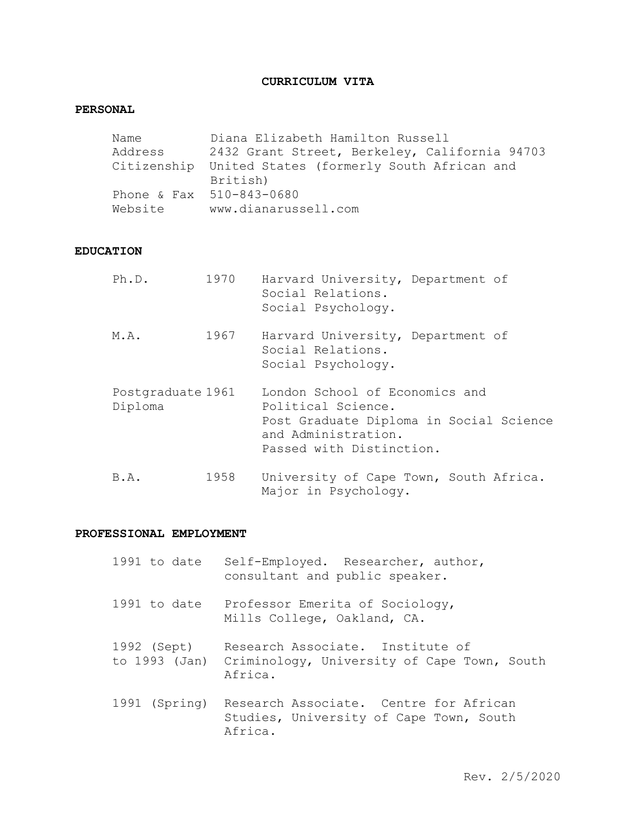# **CURRICULUM VITA**

# **PERSONAL**

| Name    | Diana Elizabeth Hamilton Russell                                  |
|---------|-------------------------------------------------------------------|
| Address | 2432 Grant Street, Berkeley, California 94703                     |
|         | Citizenship United States (formerly South African and<br>British) |
|         |                                                                   |
|         | Phone & Fax 510-843-0680                                          |
| Website | www.dianarussell.com                                              |
|         |                                                                   |

# **EDUCATION**

| Ph.D.                        | 1970 | Harvard University, Department of<br>Social Relations.<br>Social Psychology.                                                                       |
|------------------------------|------|----------------------------------------------------------------------------------------------------------------------------------------------------|
| M.A.                         | 1967 | Harvard University, Department of<br>Social Relations.<br>Social Psychology.                                                                       |
| Postgraduate 1961<br>Diploma |      | London School of Economics and<br>Political Science.<br>Post Graduate Diploma in Social Science<br>and Administration.<br>Passed with Distinction. |
| B.A.                         | 1958 | University of Cape Town, South Africa.<br>Major in Psychology.                                                                                     |

# **PROFESSIONAL EMPLOYMENT**

| 1991 to date  | Self-Employed. Researcher, author,<br>consultant and public speaker.                                     |
|---------------|----------------------------------------------------------------------------------------------------------|
| 1991 to date  | Professor Emerita of Sociology,<br>Mills College, Oakland, CA.                                           |
| 1992 (Sept)   | Research Associate. Institute of<br>to 1993 (Jan) Criminology, University of Cape Town, South<br>Africa. |
| 1991 (Spring) | Research Associate. Centre for African<br>Studies, University of Cape Town, South<br>Africa.             |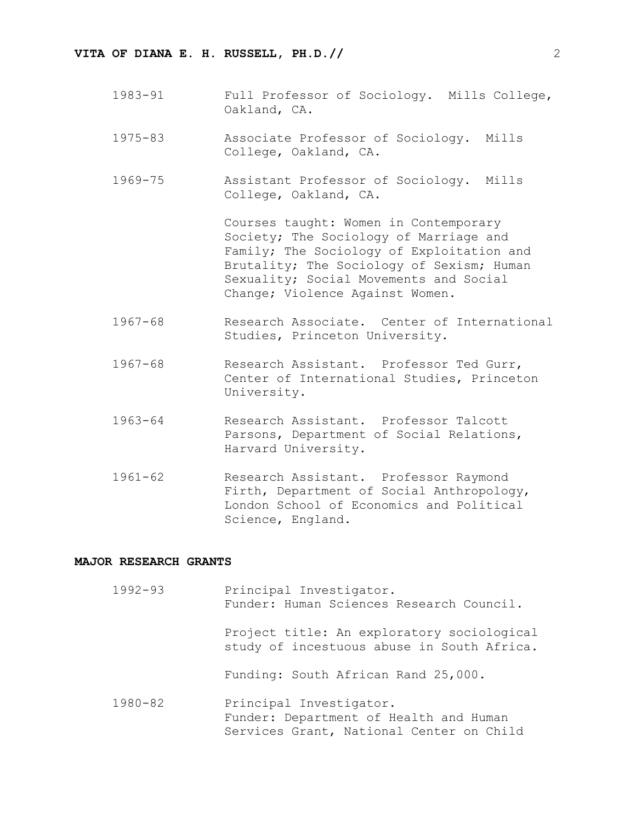- 1983-91 Full Professor of Sociology. Mills College, Oakland, CA.
- 1975-83 Associate Professor of Sociology. Mills College, Oakland, CA.
- 1969-75 Assistant Professor of Sociology. Mills College, Oakland, CA.

Courses taught: Women in Contemporary Society; The Sociology of Marriage and Family; The Sociology of Exploitation and Brutality; The Sociology of Sexism; Human Sexuality; Social Movements and Social Change; Violence Against Women.

- 1967-68 Research Associate. Center of International Studies, Princeton University.
- 1967-68 Research Assistant. Professor Ted Gurr, Center of International Studies, Princeton University.
- 1963-64 Research Assistant. Professor Talcott Parsons, Department of Social Relations, Harvard University.
- 1961-62 Research Assistant. Professor Raymond Firth, Department of Social Anthropology, London School of Economics and Political Science, England.

#### **MAJOR RESEARCH GRANTS**

| $1992 - 93$ | Principal Investigator.<br>Funder: Human Sciences Research Council.                                           |
|-------------|---------------------------------------------------------------------------------------------------------------|
|             | Project title: An exploratory sociological<br>study of incestuous abuse in South Africa.                      |
|             | Funding: South African Rand 25,000.                                                                           |
| $1980 - 82$ | Principal Investigator.<br>Funder: Department of Health and Human<br>Services Grant, National Center on Child |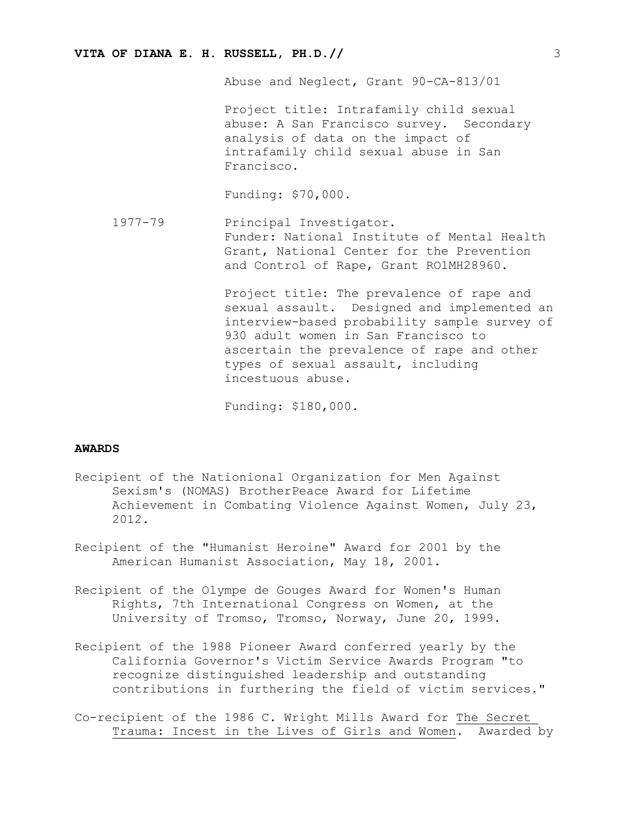Abuse and Neglect, Grant 90-CA-813/01

Project title: Intrafamily child sexual abuse: A San Francisco survey. Secondary analysis of data on the impact of intrafamily child sexual abuse in San Francisco.

Funding: \$70,000.

1977-79 Principal Investigator. Funder: National Institute of Mental Health Grant, National Center for the Prevention and Control of Rape, Grant RO1MH28960.

> Project title: The prevalence of rape and sexual assault. Designed and implemented an interview-based probability sample survey of 930 adult women in San Francisco to ascertain the prevalence of rape and other types of sexual assault, including incestuous abuse.

Funding: \$180,000.

#### **AWARDS**

- Recipient of the Nationional Organization for Men Against Sexism's (NOMAS) BrotherPeace Award for Lifetime Achievement in Combating Violence Against Women, July 23, 2012.
- Recipient of the "Humanist Heroine" Award for 2001 by the American Humanist Association, May 18, 2001.
- Recipient of the Olympe de Gouges Award for Women's Human Rights, 7th International Congress on Women, at the University of Tromso, Tromso, Norway, June 20, 1999.
- Recipient of the 1988 Pioneer Award conferred yearly by the California Governor's Victim Service Awards Program "to recognize distinguished leadership and outstanding contributions in furthering the field of victim services."
- Co-recipient of the 1986 C. Wright Mills Award for The Secret Trauma: Incest in the Lives of Girls and Women. Awarded by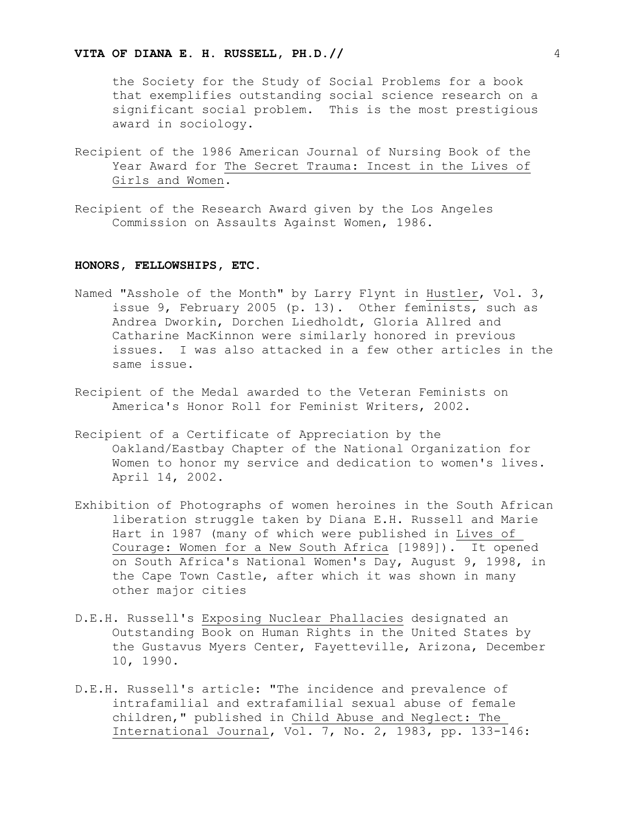the Society for the Study of Social Problems for a book that exemplifies outstanding social science research on a significant social problem. This is the most prestigious award in sociology.

- Recipient of the 1986 American Journal of Nursing Book of the Year Award for The Secret Trauma: Incest in the Lives of Girls and Women.
- Recipient of the Research Award given by the Los Angeles Commission on Assaults Against Women, 1986.

#### **HONORS, FELLOWSHIPS, ETC.**

- Named "Asshole of the Month" by Larry Flynt in Hustler, Vol. 3, issue 9, February 2005 (p. 13). Other feminists, such as Andrea Dworkin, Dorchen Liedholdt, Gloria Allred and Catharine MacKinnon were similarly honored in previous issues. I was also attacked in a few other articles in the same issue.
- Recipient of the Medal awarded to the Veteran Feminists on America's Honor Roll for Feminist Writers, 2002.
- Recipient of a Certificate of Appreciation by the Oakland/Eastbay Chapter of the National Organization for Women to honor my service and dedication to women's lives. April 14, 2002.
- Exhibition of Photographs of women heroines in the South African liberation struggle taken by Diana E.H. Russell and Marie Hart in 1987 (many of which were published in Lives of Courage: Women for a New South Africa [1989]). It opened on South Africa's National Women's Day, August 9, 1998, in the Cape Town Castle, after which it was shown in many other major cities
- D.E.H. Russell's Exposing Nuclear Phallacies designated an Outstanding Book on Human Rights in the United States by the Gustavus Myers Center, Fayetteville, Arizona, December 10, 1990.
- D.E.H. Russell's article: "The incidence and prevalence of intrafamilial and extrafamilial sexual abuse of female children," published in Child Abuse and Neglect: The International Journal, Vol. 7, No. 2, 1983, pp. 133-146: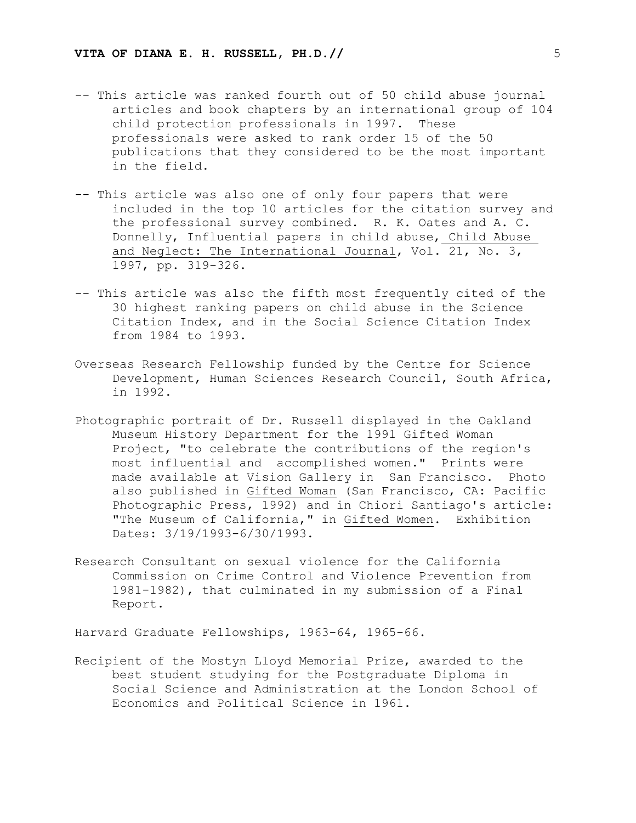- -- This article was ranked fourth out of 50 child abuse journal articles and book chapters by an international group of 104 child protection professionals in 1997. These professionals were asked to rank order 15 of the 50 publications that they considered to be the most important in the field.
- -- This article was also one of only four papers that were included in the top 10 articles for the citation survey and the professional survey combined. R. K. Oates and A. C. Donnelly, Influential papers in child abuse, Child Abuse and Neglect: The International Journal, Vol. 21, No. 3, 1997, pp. 319-326.
- -- This article was also the fifth most frequently cited of the 30 highest ranking papers on child abuse in the Science Citation Index, and in the Social Science Citation Index from 1984 to 1993.
- Overseas Research Fellowship funded by the Centre for Science Development, Human Sciences Research Council, South Africa, in 1992.
- Photographic portrait of Dr. Russell displayed in the Oakland Museum History Department for the 1991 Gifted Woman Project, "to celebrate the contributions of the region's most influential and accomplished women." Prints were made available at Vision Gallery in San Francisco. Photo also published in Gifted Woman (San Francisco, CA: Pacific Photographic Press, 1992) and in Chiori Santiago's article: "The Museum of California," in Gifted Women. Exhibition Dates: 3/19/1993-6/30/1993.
- Research Consultant on sexual violence for the California Commission on Crime Control and Violence Prevention from 1981-1982), that culminated in my submission of a Final Report.

Harvard Graduate Fellowships, 1963-64, 1965-66.

Recipient of the Mostyn Lloyd Memorial Prize, awarded to the best student studying for the Postgraduate Diploma in Social Science and Administration at the London School of Economics and Political Science in 1961.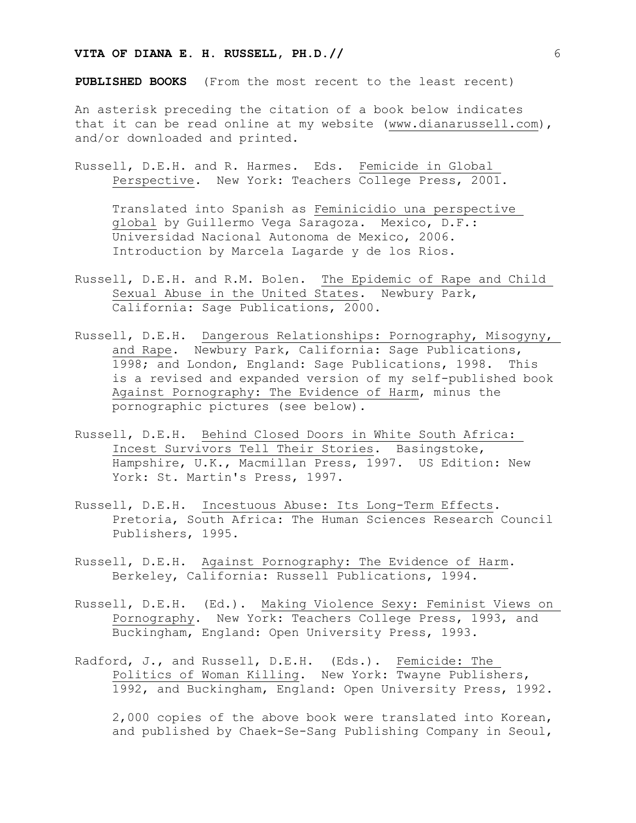**PUBLISHED BOOKS** (From the most recent to the least recent)

An asterisk preceding the citation of a book below indicates that it can be read online at my website (www.dianarussell.com), and/or downloaded and printed.

Russell, D.E.H. and R. Harmes. Eds. Femicide in Global Perspective. New York: Teachers College Press, 2001.

Translated into Spanish as Feminicidio una perspective global by Guillermo Vega Saragoza. Mexico, D.F.: Universidad Nacional Autonoma de Mexico, 2006. Introduction by Marcela Lagarde y de los Rios.

- Russell, D.E.H. and R.M. Bolen. The Epidemic of Rape and Child Sexual Abuse in the United States. Newbury Park, California: Sage Publications, 2000.
- Russell, D.E.H. Dangerous Relationships: Pornography, Misogyny, and Rape. Newbury Park, California: Sage Publications, 1998; and London, England: Sage Publications, 1998. This is a revised and expanded version of my self-published book Against Pornography: The Evidence of Harm, minus the pornographic pictures (see below).
- Russell, D.E.H. Behind Closed Doors in White South Africa: Incest Survivors Tell Their Stories. Basingstoke, Hampshire, U.K., Macmillan Press, 1997. US Edition: New York: St. Martin's Press, 1997.
- Russell, D.E.H. Incestuous Abuse: Its Long-Term Effects. Pretoria, South Africa: The Human Sciences Research Council Publishers, 1995.
- Russell, D.E.H. Against Pornography: The Evidence of Harm. Berkeley, California: Russell Publications, 1994.
- Russell, D.E.H. (Ed.). Making Violence Sexy: Feminist Views on Pornography. New York: Teachers College Press, 1993, and Buckingham, England: Open University Press, 1993.
- Radford, J., and Russell, D.E.H. (Eds.). Femicide: The Politics of Woman Killing. New York: Twayne Publishers, 1992, and Buckingham, England: Open University Press, 1992.

2,000 copies of the above book were translated into Korean, and published by Chaek-Se-Sang Publishing Company in Seoul,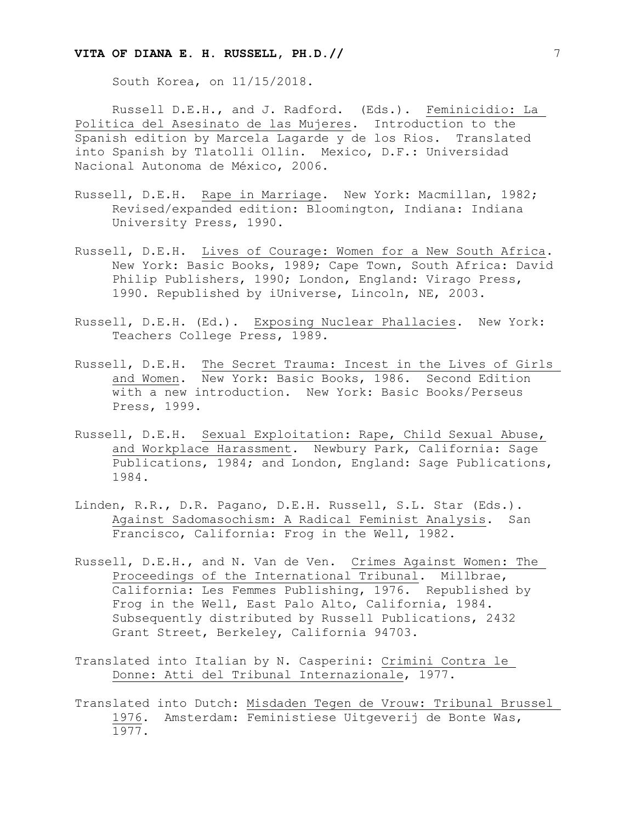South Korea, on 11/15/2018.

Russell D.E.H., and J. Radford. (Eds.). Feminicidio: La Politica del Asesinato de las Mujeres. Introduction to the Spanish edition by Marcela Lagarde y de los Rios. Translated into Spanish by Tlatolli Ollin. Mexico, D.F.: Universidad Nacional Autonoma de México, 2006.

- Russell, D.E.H. Rape in Marriage. New York: Macmillan, 1982; Revised/expanded edition: Bloomington, Indiana: Indiana University Press, 1990.
- Russell, D.E.H. Lives of Courage: Women for a New South Africa. New York: Basic Books, 1989; Cape Town, South Africa: David Philip Publishers, 1990; London, England: Virago Press, 1990. Republished by iUniverse, Lincoln, NE, 2003.
- Russell, D.E.H. (Ed.). Exposing Nuclear Phallacies. New York: Teachers College Press, 1989.
- Russell, D.E.H. The Secret Trauma: Incest in the Lives of Girls and Women. New York: Basic Books, 1986. Second Edition with a new introduction. New York: Basic Books/Perseus Press, 1999.
- Russell, D.E.H. Sexual Exploitation: Rape, Child Sexual Abuse, and Workplace Harassment. Newbury Park, California: Sage Publications, 1984; and London, England: Sage Publications, 1984.
- Linden, R.R., D.R. Pagano, D.E.H. Russell, S.L. Star (Eds.). Against Sadomasochism: A Radical Feminist Analysis. San Francisco, California: Frog in the Well, 1982.
- Russell, D.E.H., and N. Van de Ven. Crimes Against Women: The Proceedings of the International Tribunal. Millbrae, California: Les Femmes Publishing, 1976. Republished by Frog in the Well, East Palo Alto, California, 1984. Subsequently distributed by Russell Publications, 2432 Grant Street, Berkeley, California 94703.
- Translated into Italian by N. Casperini: Crimini Contra le Donne: Atti del Tribunal Internazionale, 1977.
- Translated into Dutch: Misdaden Tegen de Vrouw: Tribunal Brussel 1976. Amsterdam: Feministiese Uitgeverij de Bonte Was, 1977.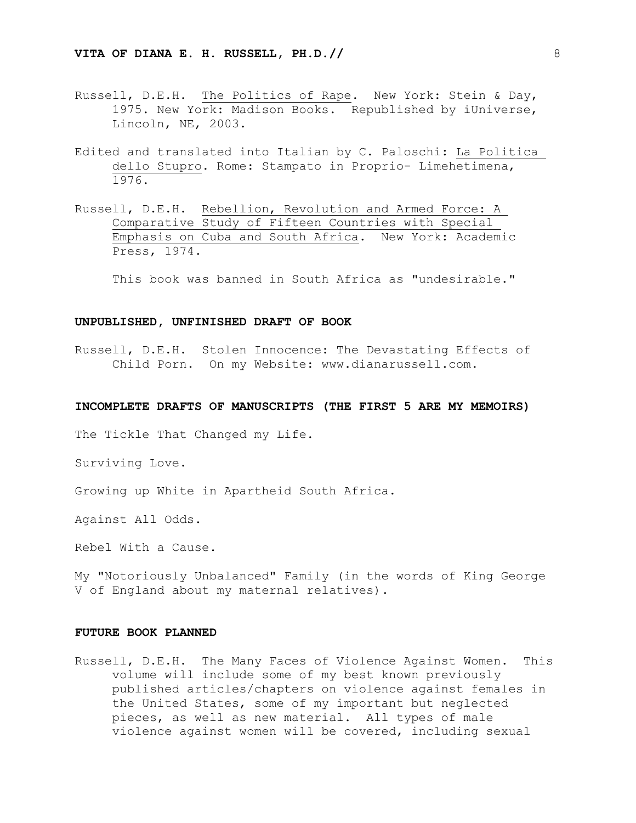- Russell, D.E.H. The Politics of Rape. New York: Stein & Day, 1975. New York: Madison Books. Republished by iUniverse, Lincoln, NE, 2003.
- Edited and translated into Italian by C. Paloschi: La Politica dello Stupro. Rome: Stampato in Proprio- Limehetimena, 1976.
- Russell, D.E.H. Rebellion, Revolution and Armed Force: A Comparative Study of Fifteen Countries with Special Emphasis on Cuba and South Africa. New York: Academic Press, 1974.

This book was banned in South Africa as "undesirable."

#### **UNPUBLISHED, UNFINISHED DRAFT OF BOOK**

Russell, D.E.H. Stolen Innocence: The Devastating Effects of Child Porn. On my Website: www.dianarussell.com.

#### **INCOMPLETE DRAFTS OF MANUSCRIPTS (THE FIRST 5 ARE MY MEMOIRS)**

The Tickle That Changed my Life.

Surviving Love.

Growing up White in Apartheid South Africa.

Against All Odds.

Rebel With a Cause.

My "Notoriously Unbalanced" Family (in the words of King George V of England about my maternal relatives).

#### **FUTURE BOOK PLANNED**

Russell, D.E.H. The Many Faces of Violence Against Women. This volume will include some of my best known previously published articles/chapters on violence against females in the United States, some of my important but neglected pieces, as well as new material. All types of male violence against women will be covered, including sexual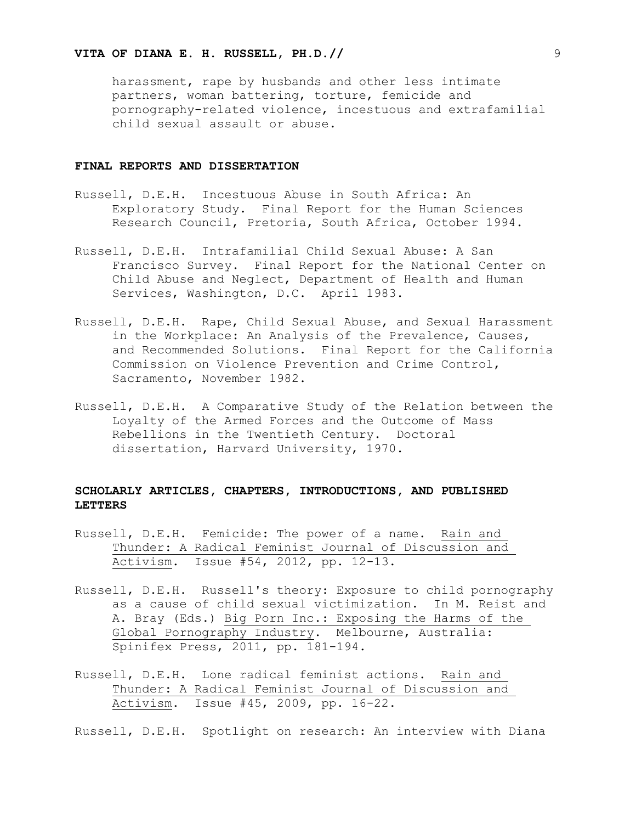harassment, rape by husbands and other less intimate partners, woman battering, torture, femicide and pornography-related violence, incestuous and extrafamilial child sexual assault or abuse.

#### **FINAL REPORTS AND DISSERTATION**

- Russell, D.E.H. Incestuous Abuse in South Africa: An Exploratory Study. Final Report for the Human Sciences Research Council, Pretoria, South Africa, October 1994.
- Russell, D.E.H. Intrafamilial Child Sexual Abuse: A San Francisco Survey. Final Report for the National Center on Child Abuse and Neglect, Department of Health and Human Services, Washington, D.C. April 1983.
- Russell, D.E.H. Rape, Child Sexual Abuse, and Sexual Harassment in the Workplace: An Analysis of the Prevalence, Causes, and Recommended Solutions. Final Report for the California Commission on Violence Prevention and Crime Control, Sacramento, November 1982.
- Russell, D.E.H. A Comparative Study of the Relation between the Loyalty of the Armed Forces and the Outcome of Mass Rebellions in the Twentieth Century. Doctoral dissertation, Harvard University, 1970.

# **SCHOLARLY ARTICLES, CHAPTERS, INTRODUCTIONS, AND PUBLISHED LETTERS**

- Russell, D.E.H. Femicide: The power of a name. Rain and Thunder: A Radical Feminist Journal of Discussion and Activism. Issue #54, 2012, pp. 12-13.
- Russell, D.E.H. Russell's theory: Exposure to child pornography as a cause of child sexual victimization. In M. Reist and A. Bray (Eds.) Big Porn Inc.: Exposing the Harms of the Global Pornography Industry. Melbourne, Australia: Spinifex Press, 2011, pp. 181-194.
- Russell, D.E.H. Lone radical feminist actions. Rain and Thunder: A Radical Feminist Journal of Discussion and Activism. Issue #45, 2009, pp. 16-22.

Russell, D.E.H. Spotlight on research: An interview with Diana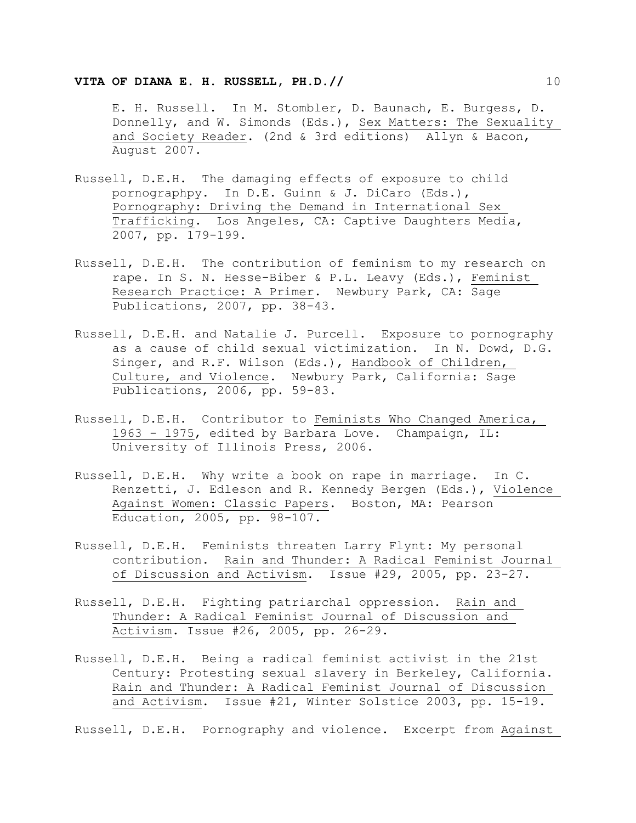### **VITA OF DIANA E. H. RUSSELL, PH.D.//** 2022 2022 2023

E. H. Russell. In M. Stombler, D. Baunach, E. Burgess, D. Donnelly, and W. Simonds (Eds.), Sex Matters: The Sexuality and Society Reader. (2nd & 3rd editions) Allyn & Bacon, August 2007.

- Russell, D.E.H. The damaging effects of exposure to child pornographpy. In D.E. Guinn & J. DiCaro (Eds.), Pornography: Driving the Demand in International Sex Trafficking. Los Angeles, CA: Captive Daughters Media, 2007, pp. 179-199.
- Russell, D.E.H. The contribution of feminism to my research on rape. In S. N. Hesse-Biber & P.L. Leavy (Eds.), Feminist Research Practice: A Primer. Newbury Park, CA: Sage Publications, 2007, pp. 38-43.
- Russell, D.E.H. and Natalie J. Purcell. Exposure to pornography as a cause of child sexual victimization. In N. Dowd, D.G. Singer, and R.F. Wilson (Eds.), Handbook of Children, Culture, and Violence. Newbury Park, California: Sage Publications, 2006, pp. 59-83.
- Russell, D.E.H. Contributor to Feminists Who Changed America, 1963 - 1975, edited by Barbara Love. Champaign, IL: University of Illinois Press, 2006.
- Russell, D.E.H. Why write a book on rape in marriage. In C. Renzetti, J. Edleson and R. Kennedy Bergen (Eds.), Violence Against Women: Classic Papers. Boston, MA: Pearson Education, 2005, pp. 98-107.
- Russell, D.E.H. Feminists threaten Larry Flynt: My personal contribution. Rain and Thunder: A Radical Feminist Journal of Discussion and Activism. Issue #29, 2005, pp. 23-27.
- Russell, D.E.H. Fighting patriarchal oppression. Rain and Thunder: A Radical Feminist Journal of Discussion and Activism. Issue #26, 2005, pp. 26-29.
- Russell, D.E.H. Being a radical feminist activist in the 21st Century: Protesting sexual slavery in Berkeley, California. Rain and Thunder: A Radical Feminist Journal of Discussion and Activism. Issue #21, Winter Solstice 2003, pp. 15-19.

Russell, D.E.H. Pornography and violence. Excerpt from Against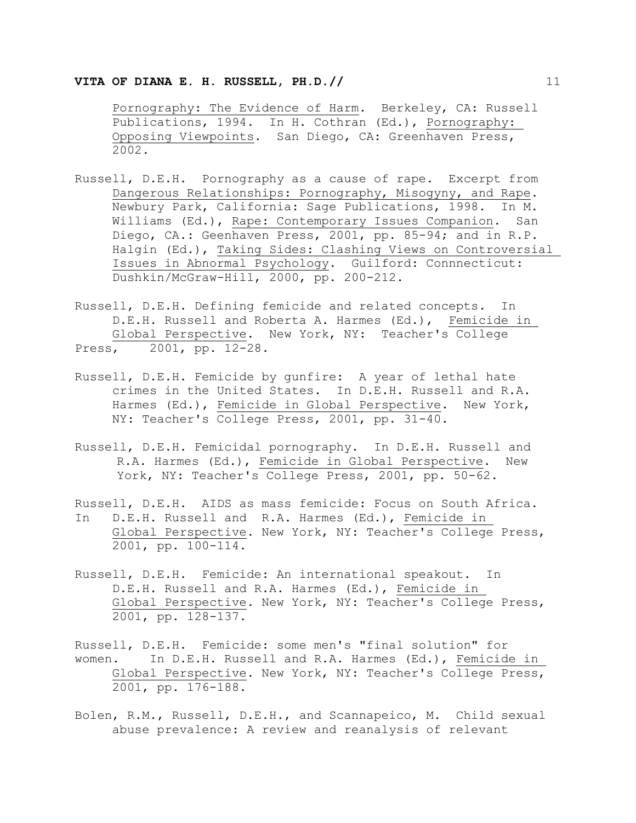Pornography: The Evidence of Harm. Berkeley, CA: Russell Publications, 1994. In H. Cothran (Ed.), Pornography: Opposing Viewpoints. San Diego, CA: Greenhaven Press, 2002.

- Russell, D.E.H. Pornography as a cause of rape. Excerpt from Dangerous Relationships: Pornography, Misogyny, and Rape. Newbury Park, California: Sage Publications, 1998. In M. Williams (Ed.), Rape: Contemporary Issues Companion. San Diego, CA.: Geenhaven Press, 2001, pp. 85-94; and in R.P. Halgin (Ed.), Taking Sides: Clashing Views on Controversial Issues in Abnormal Psychology. Guilford: Connnecticut: Dushkin/McGraw-Hill, 2000, pp. 200-212.
- Russell, D.E.H. Defining femicide and related concepts. In D.E.H. Russell and Roberta A. Harmes (Ed.), Femicide in Global Perspective. New York, NY: Teacher's College Press, 2001, pp. 12-28.
- Russell, D.E.H. Femicide by gunfire: A year of lethal hate crimes in the United States. In D.E.H. Russell and R.A. Harmes (Ed.), Femicide in Global Perspective. New York, NY: Teacher's College Press, 2001, pp. 31-40.
- Russell, D.E.H. Femicidal pornography. In D.E.H. Russell and R.A. Harmes (Ed.), Femicide in Global Perspective. New York, NY: Teacher's College Press, 2001, pp. 50-62.
- Russell, D.E.H. AIDS as mass femicide: Focus on South Africa. In D.E.H. Russell and R.A. Harmes (Ed.), Femicide in Global Perspective. New York, NY: Teacher's College Press, 2001, pp. 100-114.
- Russell, D.E.H. Femicide: An international speakout. In D.E.H. Russell and R.A. Harmes (Ed.), Femicide in Global Perspective. New York, NY: Teacher's College Press, 2001, pp. 128-137.
- Russell, D.E.H. Femicide: some men's "final solution" for women. In D.E.H. Russell and R.A. Harmes (Ed.), Femicide in Global Perspective. New York, NY: Teacher's College Press, 2001, pp. 176-188.
- Bolen, R.M., Russell, D.E.H., and Scannapeico, M. Child sexual abuse prevalence: A review and reanalysis of relevant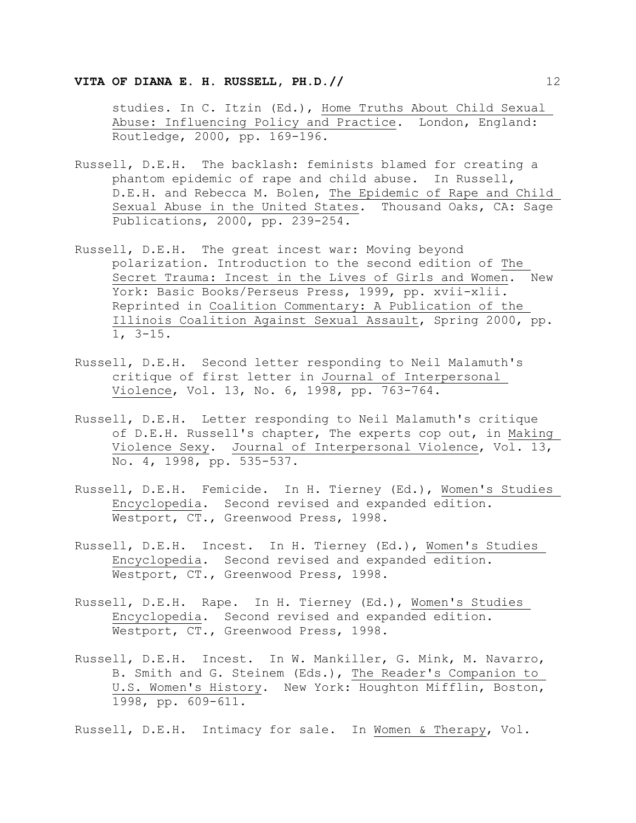studies. In C. Itzin (Ed.), Home Truths About Child Sexual Abuse: Influencing Policy and Practice. London, England: Routledge, 2000, pp. 169-196.

- Russell, D.E.H. The backlash: feminists blamed for creating a phantom epidemic of rape and child abuse. In Russell, D.E.H. and Rebecca M. Bolen, The Epidemic of Rape and Child Sexual Abuse in the United States. Thousand Oaks, CA: Sage Publications, 2000, pp. 239-254.
- Russell, D.E.H. The great incest war: Moving beyond polarization. Introduction to the second edition of The Secret Trauma: Incest in the Lives of Girls and Women. New York: Basic Books/Perseus Press, 1999, pp. xvii-xlii. Reprinted in Coalition Commentary: A Publication of the Illinois Coalition Against Sexual Assault, Spring 2000, pp. 1, 3-15.
- Russell, D.E.H. Second letter responding to Neil Malamuth's critique of first letter in Journal of Interpersonal Violence, Vol. 13, No. 6, 1998, pp. 763-764.
- Russell, D.E.H. Letter responding to Neil Malamuth's critique of D.E.H. Russell's chapter, The experts cop out, in Making Violence Sexy. Journal of Interpersonal Violence, Vol. 13, No. 4, 1998, pp. 535-537.
- Russell, D.E.H. Femicide. In H. Tierney (Ed.), Women's Studies Encyclopedia. Second revised and expanded edition. Westport, CT., Greenwood Press, 1998.
- Russell, D.E.H. Incest. In H. Tierney (Ed.), Women's Studies Encyclopedia. Second revised and expanded edition. Westport, CT., Greenwood Press, 1998.
- Russell, D.E.H. Rape. In H. Tierney (Ed.), Women's Studies Encyclopedia. Second revised and expanded edition. Westport, CT., Greenwood Press, 1998.
- Russell, D.E.H. Incest. In W. Mankiller, G. Mink, M. Navarro, B. Smith and G. Steinem (Eds.), The Reader's Companion to U.S. Women's History. New York: Houghton Mifflin, Boston, 1998, pp. 609-611.

Russell, D.E.H. Intimacy for sale. In Women & Therapy, Vol.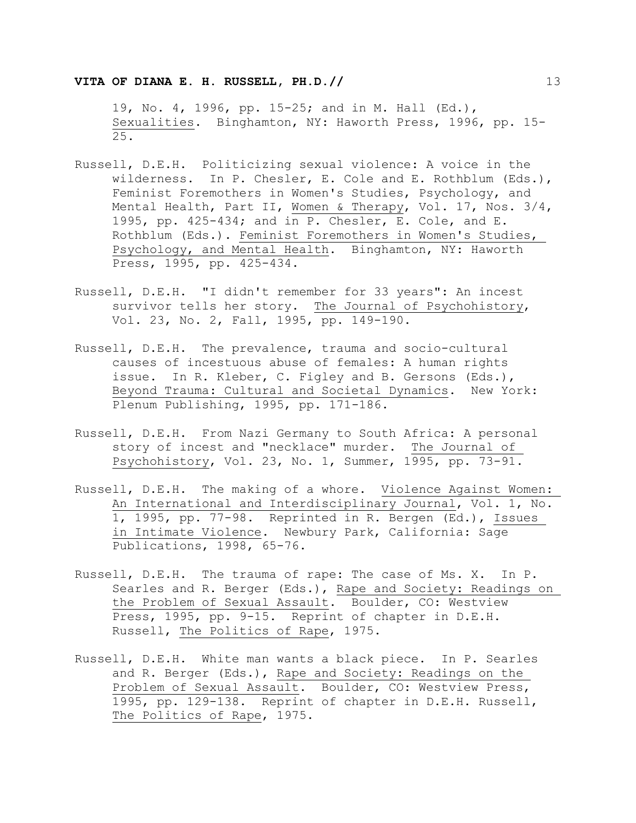19, No. 4, 1996, pp. 15-25; and in M. Hall (Ed.), Sexualities. Binghamton, NY: Haworth Press, 1996, pp. 15- 25.

- Russell, D.E.H. Politicizing sexual violence: A voice in the wilderness. In P. Chesler, E. Cole and E. Rothblum (Eds.), Feminist Foremothers in Women's Studies, Psychology, and Mental Health, Part II, Women & Therapy, Vol. 17, Nos. 3/4, 1995, pp. 425-434; and in P. Chesler, E. Cole, and E. Rothblum (Eds.). Feminist Foremothers in Women's Studies, Psychology, and Mental Health. Binghamton, NY: Haworth Press, 1995, pp. 425-434.
- Russell, D.E.H. "I didn't remember for 33 years": An incest survivor tells her story. The Journal of Psychohistory, Vol. 23, No. 2, Fall, 1995, pp. 149-190.
- Russell, D.E.H. The prevalence, trauma and socio-cultural causes of incestuous abuse of females: A human rights issue. In R. Kleber, C. Figley and B. Gersons (Eds.), Beyond Trauma: Cultural and Societal Dynamics. New York: Plenum Publishing, 1995, pp. 171-186.
- Russell, D.E.H. From Nazi Germany to South Africa: A personal story of incest and "necklace" murder. The Journal of Psychohistory, Vol. 23, No. 1, Summer, 1995, pp. 73-91.
- Russell, D.E.H. The making of a whore. Violence Against Women: An International and Interdisciplinary Journal, Vol. 1, No. 1, 1995, pp. 77-98. Reprinted in R. Bergen (Ed.), Issues in Intimate Violence. Newbury Park, California: Sage Publications, 1998, 65-76.
- Russell, D.E.H. The trauma of rape: The case of Ms. X. In P. Searles and R. Berger (Eds.), Rape and Society: Readings on the Problem of Sexual Assault. Boulder, CO: Westview Press, 1995, pp. 9-15. Reprint of chapter in D.E.H. Russell, The Politics of Rape, 1975.
- Russell, D.E.H. White man wants a black piece. In P. Searles and R. Berger (Eds.), Rape and Society: Readings on the Problem of Sexual Assault. Boulder, CO: Westview Press, 1995, pp. 129-138. Reprint of chapter in D.E.H. Russell, The Politics of Rape, 1975.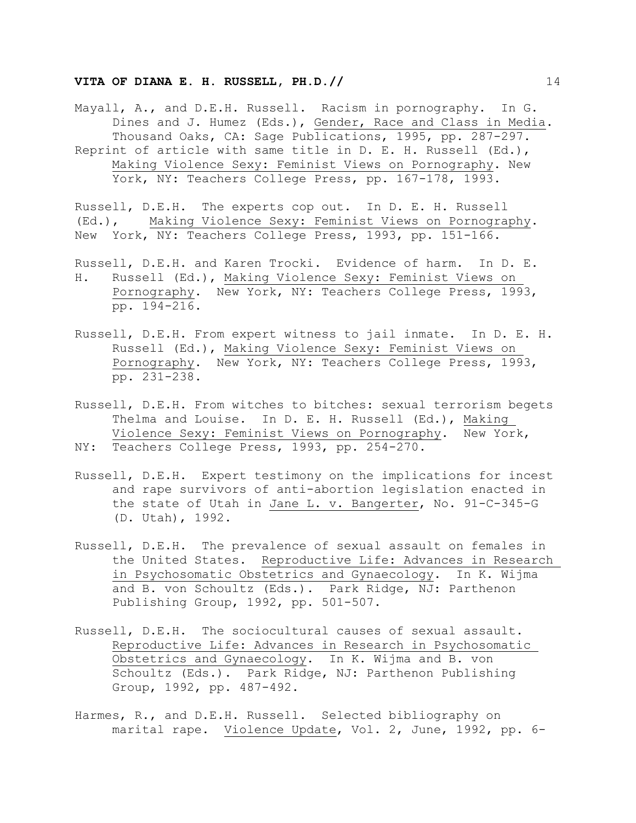Mayall, A., and D.E.H. Russell. Racism in pornography. In G. Dines and J. Humez (Eds.), Gender, Race and Class in Media. Thousand Oaks, CA: Sage Publications, 1995, pp. 287-297. Reprint of article with same title in D. E. H. Russell (Ed.), Making Violence Sexy: Feminist Views on Pornography. New York, NY: Teachers College Press, pp. 167-178, 1993.

Russell, D.E.H. The experts cop out. In D. E. H. Russell (Ed.), Making Violence Sexy: Feminist Views on Pornography. New York, NY: Teachers College Press, 1993, pp. 151-166.

- Russell, D.E.H. and Karen Trocki. Evidence of harm. In D. E. H. Russell (Ed.), Making Violence Sexy: Feminist Views on Pornography. New York, NY: Teachers College Press, 1993, pp. 194-216.
- Russell, D.E.H. From expert witness to jail inmate. In D. E. H. Russell (Ed.), Making Violence Sexy: Feminist Views on Pornography. New York, NY: Teachers College Press, 1993, pp. 231-238.
- Russell, D.E.H. From witches to bitches: sexual terrorism begets Thelma and Louise. In D. E. H. Russell (Ed.), Making Violence Sexy: Feminist Views on Pornography. New York, NY: Teachers College Press, 1993, pp. 254-270.
- Russell, D.E.H. Expert testimony on the implications for incest and rape survivors of anti-abortion legislation enacted in the state of Utah in Jane L. v. Bangerter, No. 91-C-345-G (D. Utah), 1992.
- Russell, D.E.H. The prevalence of sexual assault on females in the United States. Reproductive Life: Advances in Research in Psychosomatic Obstetrics and Gynaecology. In K. Wijma and B. von Schoultz (Eds.). Park Ridge, NJ: Parthenon Publishing Group, 1992, pp. 501-507.
- Russell, D.E.H. The sociocultural causes of sexual assault. Reproductive Life: Advances in Research in Psychosomatic Obstetrics and Gynaecology. In K. Wijma and B. von Schoultz (Eds.). Park Ridge, NJ: Parthenon Publishing Group, 1992, pp. 487-492.
- Harmes, R., and D.E.H. Russell. Selected bibliography on marital rape. Violence Update, Vol. 2, June, 1992, pp. 6-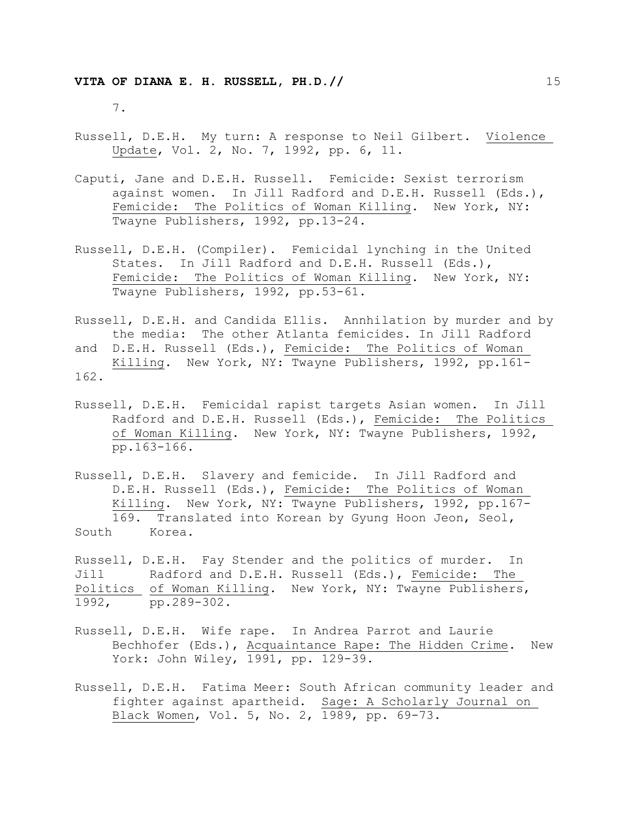7.

- Russell, D.E.H. My turn: A response to Neil Gilbert. Violence Update, Vol. 2, No. 7, 1992, pp. 6, 11.
- Caputi, Jane and D.E.H. Russell. Femicide: Sexist terrorism against women. In Jill Radford and D.E.H. Russell (Eds.), Femicide: The Politics of Woman Killing. New York, NY: Twayne Publishers, 1992, pp.13-24.
- Russell, D.E.H. (Compiler). Femicidal lynching in the United States. In Jill Radford and D.E.H. Russell (Eds.), Femicide: The Politics of Woman Killing. New York, NY: Twayne Publishers, 1992, pp.53-61.
- Russell, D.E.H. and Candida Ellis. Annhilation by murder and by the media: The other Atlanta femicides. In Jill Radford and D.E.H. Russell (Eds.), Femicide: The Politics of Woman Killing. New York, NY: Twayne Publishers, 1992, pp.161- 162.
- Russell, D.E.H. Femicidal rapist targets Asian women. In Jill Radford and D.E.H. Russell (Eds.), Femicide: The Politics of Woman Killing. New York, NY: Twayne Publishers, 1992, pp.163-166.
- Russell, D.E.H. Slavery and femicide. In Jill Radford and D.E.H. Russell (Eds.), Femicide: The Politics of Woman Killing. New York, NY: Twayne Publishers, 1992, pp.167- 169. Translated into Korean by Gyung Hoon Jeon, Seol, South Korea.
- Russell, D.E.H. Fay Stender and the politics of murder. In Jill Radford and D.E.H. Russell (Eds.), Femicide: The Politics of Woman Killing. New York, NY: Twayne Publishers, 1992, pp.289-302.
- Russell, D.E.H. Wife rape. In Andrea Parrot and Laurie Bechhofer (Eds.), Acquaintance Rape: The Hidden Crime. New York: John Wiley, 1991, pp. 129-39.
- Russell, D.E.H. Fatima Meer: South African community leader and fighter against apartheid. Sage: A Scholarly Journal on Black Women, Vol. 5, No. 2, 1989, pp. 69-73.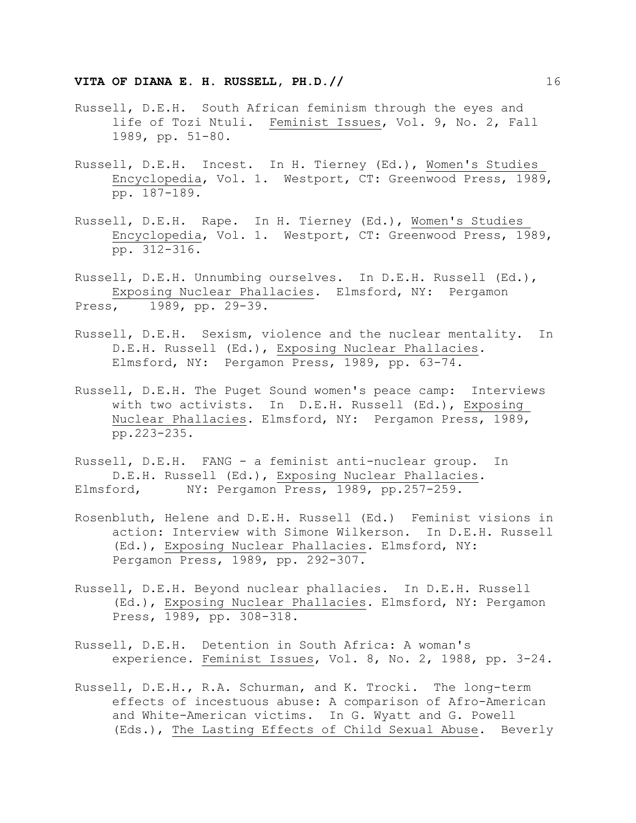- Russell, D.E.H. South African feminism through the eyes and life of Tozi Ntuli. Feminist Issues, Vol. 9, No. 2, Fall 1989, pp. 51-80.
- Russell, D.E.H. Incest. In H. Tierney (Ed.), Women's Studies Encyclopedia, Vol. 1. Westport, CT: Greenwood Press, 1989, pp. 187-189.
- Russell, D.E.H. Rape. In H. Tierney (Ed.), Women's Studies Encyclopedia, Vol. 1. Westport, CT: Greenwood Press, 1989, pp. 312-316.

Russell, D.E.H. Unnumbing ourselves. In D.E.H. Russell (Ed.), Exposing Nuclear Phallacies. Elmsford, NY: Pergamon Press, 1989, pp. 29-39.

- Russell, D.E.H. Sexism, violence and the nuclear mentality. In D.E.H. Russell (Ed.), Exposing Nuclear Phallacies. Elmsford, NY: Pergamon Press, 1989, pp. 63-74.
- Russell, D.E.H. The Puget Sound women's peace camp: Interviews with two activists. In D.E.H. Russell (Ed.), Exposing Nuclear Phallacies. Elmsford, NY: Pergamon Press, 1989, pp.223-235.
- Russell, D.E.H. FANG a feminist anti-nuclear group. In D.E.H. Russell (Ed.), Exposing Nuclear Phallacies. Elmsford, NY: Pergamon Press, 1989, pp.257-259.
- Rosenbluth, Helene and D.E.H. Russell (Ed.) Feminist visions in action: Interview with Simone Wilkerson. In D.E.H. Russell (Ed.), Exposing Nuclear Phallacies. Elmsford, NY: Pergamon Press, 1989, pp. 292-307.
- Russell, D.E.H. Beyond nuclear phallacies. In D.E.H. Russell (Ed.), Exposing Nuclear Phallacies. Elmsford, NY: Pergamon Press, 1989, pp. 308-318.
- Russell, D.E.H. Detention in South Africa: A woman's experience. Feminist Issues, Vol. 8, No. 2, 1988, pp. 3-24.
- Russell, D.E.H., R.A. Schurman, and K. Trocki. The long-term effects of incestuous abuse: A comparison of Afro-American and White-American victims. In G. Wyatt and G. Powell (Eds.), The Lasting Effects of Child Sexual Abuse. Beverly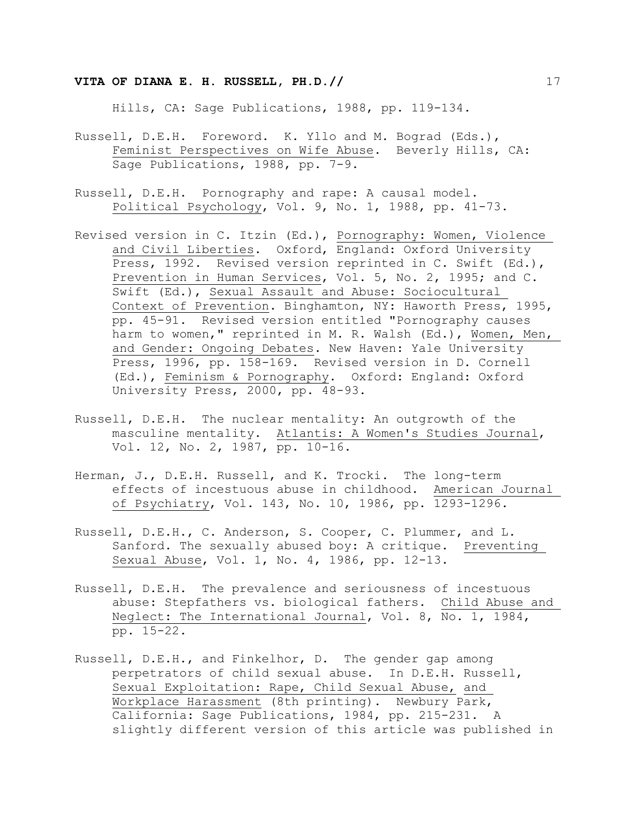Hills, CA: Sage Publications, 1988, pp. 119-134.

- Russell, D.E.H. Foreword. K. Yllo and M. Bograd (Eds.), Feminist Perspectives on Wife Abuse. Beverly Hills, CA: Sage Publications, 1988, pp. 7-9.
- Russell, D.E.H. Pornography and rape: A causal model. Political Psychology, Vol. 9, No. 1, 1988, pp. 41-73.
- Revised version in C. Itzin (Ed.), Pornography: Women, Violence and Civil Liberties. Oxford, England: Oxford University Press, 1992. Revised version reprinted in C. Swift (Ed.), Prevention in Human Services, Vol. 5, No. 2, 1995; and C. Swift (Ed.), Sexual Assault and Abuse: Sociocultural Context of Prevention. Binghamton, NY: Haworth Press, 1995, pp. 45-91. Revised version entitled "Pornography causes harm to women," reprinted in M. R. Walsh (Ed.), Women, Men, and Gender: Ongoing Debates. New Haven: Yale University Press, 1996, pp. 158-169. Revised version in D. Cornell (Ed.), Feminism & Pornography. Oxford: England: Oxford University Press, 2000, pp. 48-93.
- Russell, D.E.H. The nuclear mentality: An outgrowth of the masculine mentality. Atlantis: A Women's Studies Journal, Vol. 12, No. 2, 1987, pp. 10-16.
- Herman, J., D.E.H. Russell, and K. Trocki. The long-term effects of incestuous abuse in childhood. American Journal of Psychiatry, Vol. 143, No. 10, 1986, pp. 1293-1296.
- Russell, D.E.H., C. Anderson, S. Cooper, C. Plummer, and L. Sanford. The sexually abused boy: A critique. Preventing Sexual Abuse, Vol. 1, No. 4, 1986, pp. 12-13.
- Russell, D.E.H. The prevalence and seriousness of incestuous abuse: Stepfathers vs. biological fathers. Child Abuse and Neglect: The International Journal, Vol. 8, No. 1, 1984, pp. 15-22.
- Russell, D.E.H., and Finkelhor, D. The gender gap among perpetrators of child sexual abuse. In D.E.H. Russell, Sexual Exploitation: Rape, Child Sexual Abuse, and Workplace Harassment (8th printing). Newbury Park, California: Sage Publications, 1984, pp. 215-231. A slightly different version of this article was published in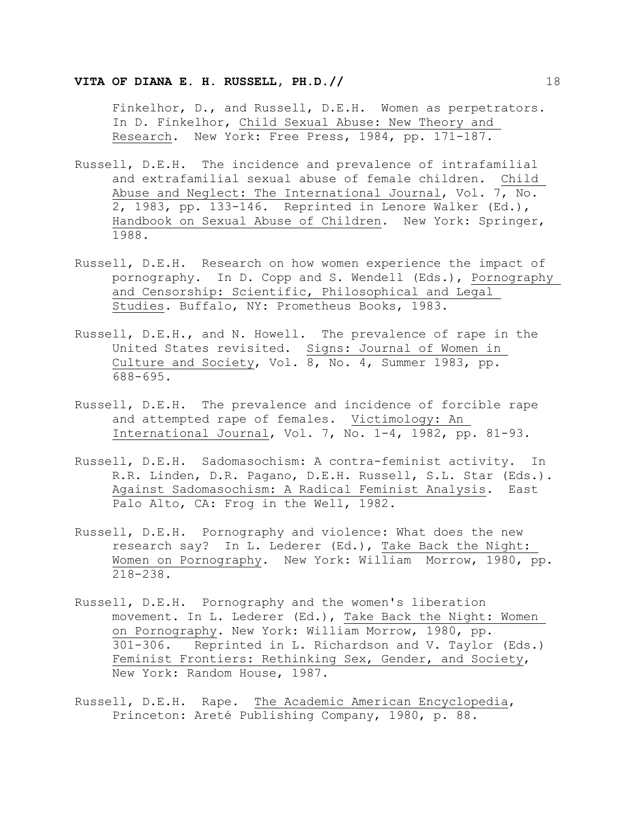Finkelhor, D., and Russell, D.E.H. Women as perpetrators. In D. Finkelhor, Child Sexual Abuse: New Theory and Research. New York: Free Press, 1984, pp. 171-187.

- Russell, D.E.H. The incidence and prevalence of intrafamilial and extrafamilial sexual abuse of female children. Child Abuse and Neglect: The International Journal, Vol. 7, No. 2, 1983, pp. 133-146. Reprinted in Lenore Walker (Ed.), Handbook on Sexual Abuse of Children. New York: Springer, 1988.
- Russell, D.E.H. Research on how women experience the impact of pornography. In D. Copp and S. Wendell (Eds.), Pornography and Censorship: Scientific, Philosophical and Legal Studies. Buffalo, NY: Prometheus Books, 1983.
- Russell, D.E.H., and N. Howell. The prevalence of rape in the United States revisited. Signs: Journal of Women in Culture and Society, Vol. 8, No. 4, Summer 1983, pp. 688-695.
- Russell, D.E.H. The prevalence and incidence of forcible rape and attempted rape of females. Victimology: An International Journal, Vol. 7, No. 1-4, 1982, pp. 81-93.
- Russell, D.E.H. Sadomasochism: A contra-feminist activity. In R.R. Linden, D.R. Pagano, D.E.H. Russell, S.L. Star (Eds.). Against Sadomasochism: A Radical Feminist Analysis. East Palo Alto, CA: Frog in the Well, 1982.
- Russell, D.E.H. Pornography and violence: What does the new research say? In L. Lederer (Ed.), Take Back the Night: Women on Pornography. New York: William Morrow, 1980, pp. 218-238.
- Russell, D.E.H. Pornography and the women's liberation movement. In L. Lederer (Ed.), Take Back the Night: Women on Pornography. New York: William Morrow, 1980, pp. 301-306. Reprinted in L. Richardson and V. Taylor (Eds.) Feminist Frontiers: Rethinking Sex, Gender, and Society, New York: Random House, 1987.
- Russell, D.E.H. Rape. The Academic American Encyclopedia, Princeton: Areté Publishing Company, 1980, p. 88.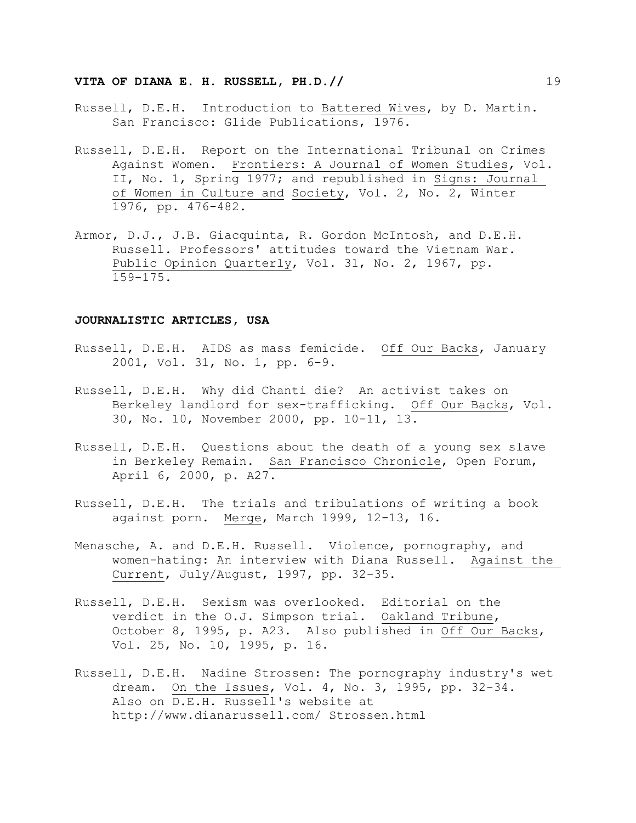- Russell, D.E.H. Introduction to Battered Wives, by D. Martin. San Francisco: Glide Publications, 1976.
- Russell, D.E.H. Report on the International Tribunal on Crimes Against Women. Frontiers: A Journal of Women Studies, Vol. II, No. 1, Spring 1977; and republished in Signs: Journal of Women in Culture and Society, Vol. 2, No. 2, Winter 1976, pp. 476-482.
- Armor, D.J., J.B. Giacquinta, R. Gordon McIntosh, and D.E.H. Russell. Professors' attitudes toward the Vietnam War. Public Opinion Quarterly, Vol. 31, No. 2, 1967, pp. 159-175.

#### **JOURNALISTIC ARTICLES, USA**

- Russell, D.E.H. AIDS as mass femicide. Off Our Backs, January 2001, Vol. 31, No. 1, pp. 6-9.
- Russell, D.E.H. Why did Chanti die? An activist takes on Berkeley landlord for sex-trafficking. Off Our Backs, Vol. 30, No. 10, November 2000, pp. 10-11, 13.
- Russell, D.E.H. Questions about the death of a young sex slave in Berkeley Remain. San Francisco Chronicle, Open Forum, April 6, 2000, p. A27.
- Russell, D.E.H. The trials and tribulations of writing a book against porn. Merge, March 1999, 12-13, 16.
- Menasche, A. and D.E.H. Russell. Violence, pornography, and women-hating: An interview with Diana Russell. Against the Current, July/August, 1997, pp. 32-35.
- Russell, D.E.H. Sexism was overlooked. Editorial on the verdict in the O.J. Simpson trial. Oakland Tribune, October 8, 1995, p. A23. Also published in Off Our Backs, Vol. 25, No. 10, 1995, p. 16.
- Russell, D.E.H. Nadine Strossen: The pornography industry's wet dream. On the Issues, Vol. 4, No. 3, 1995, pp. 32-34. Also on D.E.H. Russell's website at http://www.dianarussell.com/ Strossen.html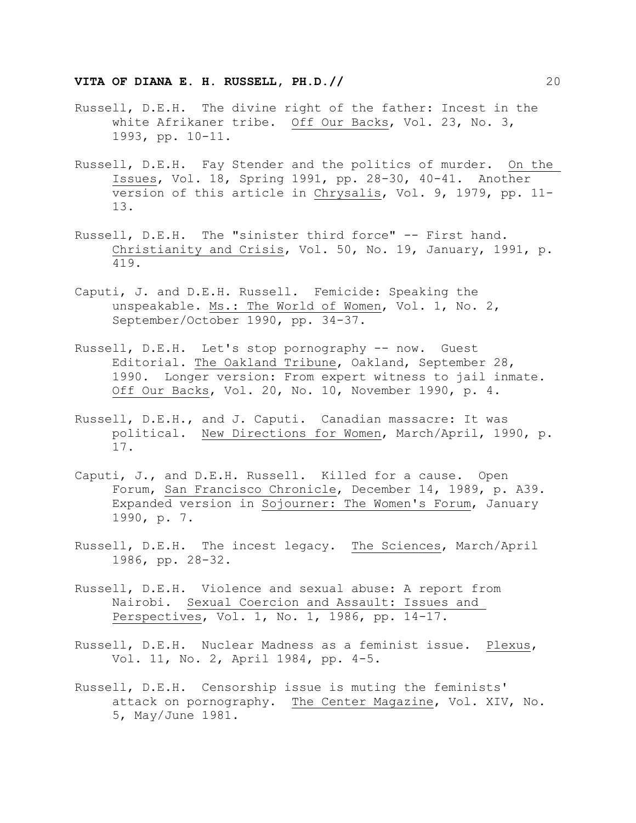- Russell, D.E.H. The divine right of the father: Incest in the white Afrikaner tribe. Off Our Backs, Vol. 23, No. 3, 1993, pp. 10-11.
- Russell, D.E.H. Fay Stender and the politics of murder. On the Issues, Vol. 18, Spring 1991, pp. 28-30, 40-41. Another version of this article in Chrysalis, Vol. 9, 1979, pp. 11- 13.
- Russell, D.E.H. The "sinister third force" -- First hand. Christianity and Crisis, Vol. 50, No. 19, January, 1991, p. 419.
- Caputi, J. and D.E.H. Russell. Femicide: Speaking the unspeakable. Ms.: The World of Women, Vol. 1, No. 2, September/October 1990, pp. 34-37.
- Russell, D.E.H. Let's stop pornography -- now. Guest Editorial. The Oakland Tribune, Oakland, September 28, 1990. Longer version: From expert witness to jail inmate. Off Our Backs, Vol. 20, No. 10, November 1990, p. 4.
- Russell, D.E.H., and J. Caputi. Canadian massacre: It was political. New Directions for Women, March/April, 1990, p. 17.
- Caputi, J., and D.E.H. Russell. Killed for a cause. Open Forum, San Francisco Chronicle, December 14, 1989, p. A39. Expanded version in Sojourner: The Women's Forum, January 1990, p. 7.
- Russell, D.E.H. The incest legacy. The Sciences, March/April 1986, pp. 28-32.
- Russell, D.E.H. Violence and sexual abuse: A report from Nairobi. Sexual Coercion and Assault: Issues and Perspectives, Vol. 1, No. 1, 1986, pp. 14-17.
- Russell, D.E.H. Nuclear Madness as a feminist issue. Plexus, Vol. 11, No. 2, April 1984, pp. 4-5.
- Russell, D.E.H. Censorship issue is muting the feminists' attack on pornography. The Center Magazine, Vol. XIV, No. 5, May/June 1981.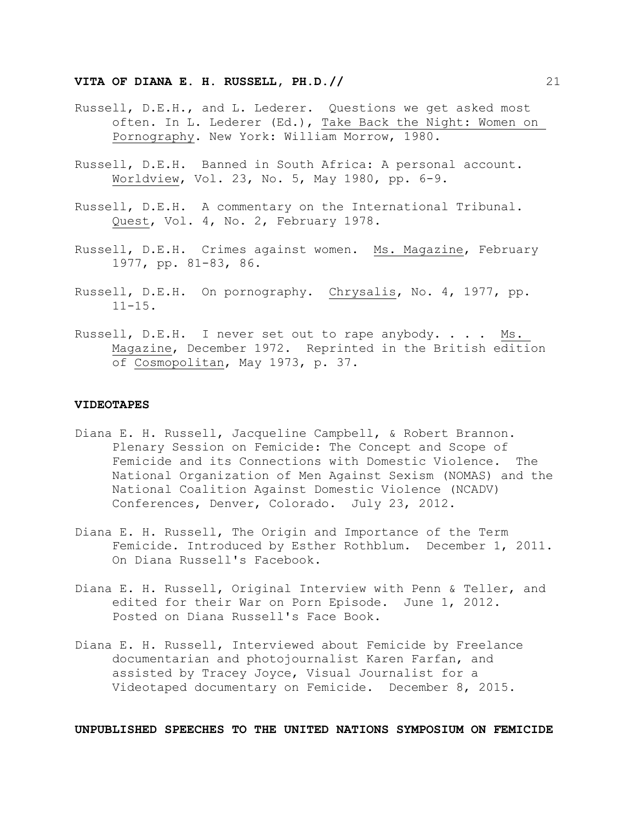- Russell, D.E.H., and L. Lederer. Questions we get asked most often. In L. Lederer (Ed.), Take Back the Night: Women on Pornography. New York: William Morrow, 1980.
- Russell, D.E.H. Banned in South Africa: A personal account. Worldview, Vol. 23, No. 5, May 1980, pp. 6-9.
- Russell, D.E.H. A commentary on the International Tribunal. Quest, Vol. 4, No. 2, February 1978.
- Russell, D.E.H. Crimes against women. Ms. Magazine, February 1977, pp. 81-83, 86.
- Russell, D.E.H. On pornography. Chrysalis, No. 4, 1977, pp.  $11 - 15$ .
- Russell, D.E.H. I never set out to rape anybody. . . . Ms. Magazine, December 1972. Reprinted in the British edition of Cosmopolitan, May 1973, p. 37.

#### **VIDEOTAPES**

- Diana E. H. Russell, Jacqueline Campbell, & Robert Brannon. Plenary Session on Femicide: The Concept and Scope of Femicide and its Connections with Domestic Violence. The National Organization of Men Against Sexism (NOMAS) and the National Coalition Against Domestic Violence (NCADV) Conferences, Denver, Colorado. July 23, 2012.
- Diana E. H. Russell, The Origin and Importance of the Term Femicide. Introduced by Esther Rothblum. December 1, 2011. On Diana Russell's Facebook.
- Diana E. H. Russell, Original Interview with Penn & Teller, and edited for their War on Porn Episode. June 1, 2012. Posted on Diana Russell's Face Book.
- Diana E. H. Russell, Interviewed about Femicide by Freelance documentarian and photojournalist Karen Farfan, and assisted by Tracey Joyce, Visual Journalist for a Videotaped documentary on Femicide. December 8, 2015.

**UNPUBLISHED SPEECHES TO THE UNITED NATIONS SYMPOSIUM ON FEMICIDE**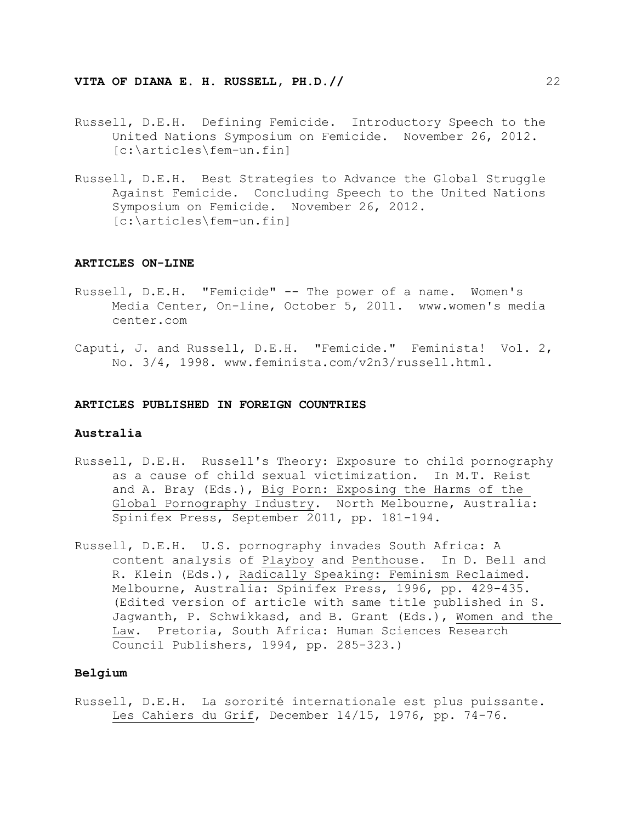- Russell, D.E.H. Defining Femicide. Introductory Speech to the United Nations Symposium on Femicide. November 26, 2012. [c:\articles\fem-un.fin]
- Russell, D.E.H. Best Strategies to Advance the Global Struggle Against Femicide. Concluding Speech to the United Nations Symposium on Femicide. November 26, 2012. [c:\articles\fem-un.fin]

#### **ARTICLES ON-LINE**

- Russell, D.E.H. "Femicide" -- The power of a name. Women's Media Center, On-line, October 5, 2011. www.women's media center.com
- Caputi, J. and Russell, D.E.H. "Femicide." Feminista! Vol. 2, No. 3/4, 1998. www.feminista.com/v2n3/russell.html.

#### **ARTICLES PUBLISHED IN FOREIGN COUNTRIES**

#### **Australia**

- Russell, D.E.H. Russell's Theory: Exposure to child pornography as a cause of child sexual victimization. In M.T. Reist and A. Bray (Eds.), Big Porn: Exposing the Harms of the Global Pornography Industry. North Melbourne, Australia: Spinifex Press, September 2011, pp. 181-194.
- Russell, D.E.H. U.S. pornography invades South Africa: A content analysis of Playboy and Penthouse. In D. Bell and R. Klein (Eds.), Radically Speaking: Feminism Reclaimed. Melbourne, Australia: Spinifex Press, 1996, pp. 429-435. (Edited version of article with same title published in S. Jagwanth, P. Schwikkasd, and B. Grant (Eds.), Women and the Law. Pretoria, South Africa: Human Sciences Research Council Publishers, 1994, pp. 285-323.)

#### **Belgium**

Russell, D.E.H. La sororité internationale est plus puissante. Les Cahiers du Grif, December 14/15, 1976, pp. 74-76.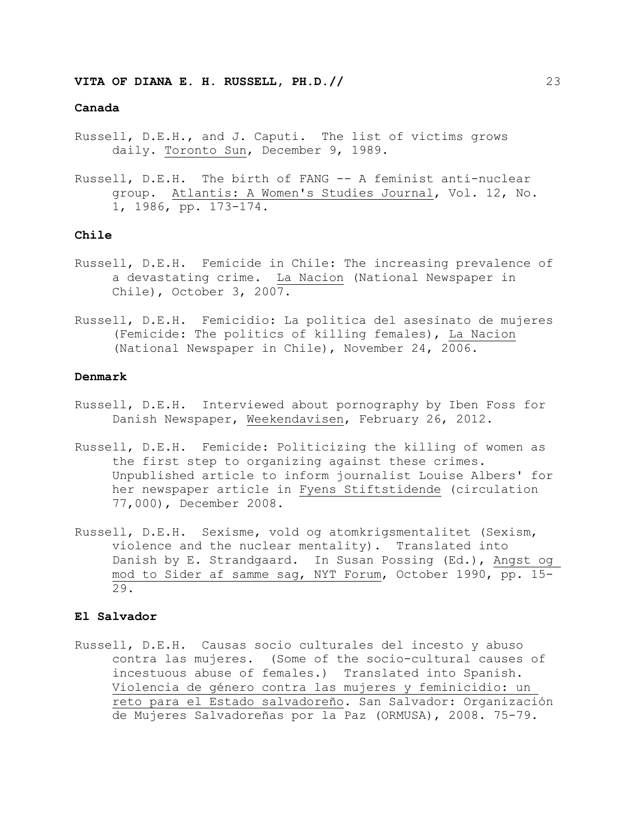## **Canada**

- Russell, D.E.H., and J. Caputi. The list of victims grows daily. Toronto Sun, December 9, 1989.
- Russell, D.E.H. The birth of FANG -- A feminist anti-nuclear group. Atlantis: A Women's Studies Journal, Vol. 12, No. 1, 1986, pp. 173-174.

## **Chile**

- Russell, D.E.H. Femicide in Chile: The increasing prevalence of a devastating crime. La Nacion (National Newspaper in Chile), October 3, 2007.
- Russell, D.E.H. Femicidio: La politica del asesinato de mujeres (Femicide: The politics of killing females), La Nacion (National Newspaper in Chile), November 24, 2006.

#### **Denmark**

- Russell, D.E.H. Interviewed about pornography by Iben Foss for Danish Newspaper, Weekendavisen, February 26, 2012.
- Russell, D.E.H. Femicide: Politicizing the killing of women as the first step to organizing against these crimes. Unpublished article to inform journalist Louise Albers' for her newspaper article in Fyens Stiftstidende (circulation 77,000), December 2008.
- Russell, D.E.H. Sexisme, vold og atomkrigsmentalitet (Sexism, violence and the nuclear mentality). Translated into Danish by E. Strandgaard. In Susan Possing (Ed.), Angst og mod to Sider af samme sag, NYT Forum, October 1990, pp. 15- 29.

# **El Salvador**

Russell, D.E.H. Causas socio culturales del incesto y abuso contra las mujeres. (Some of the socio-cultural causes of incestuous abuse of females.) Translated into Spanish. Violencia de género contra las mujeres y feminicidio: un reto para el Estado salvadoreño. San Salvador: Organización de Mujeres Salvadoreñas por la Paz (ORMUSA), 2008. 75-79.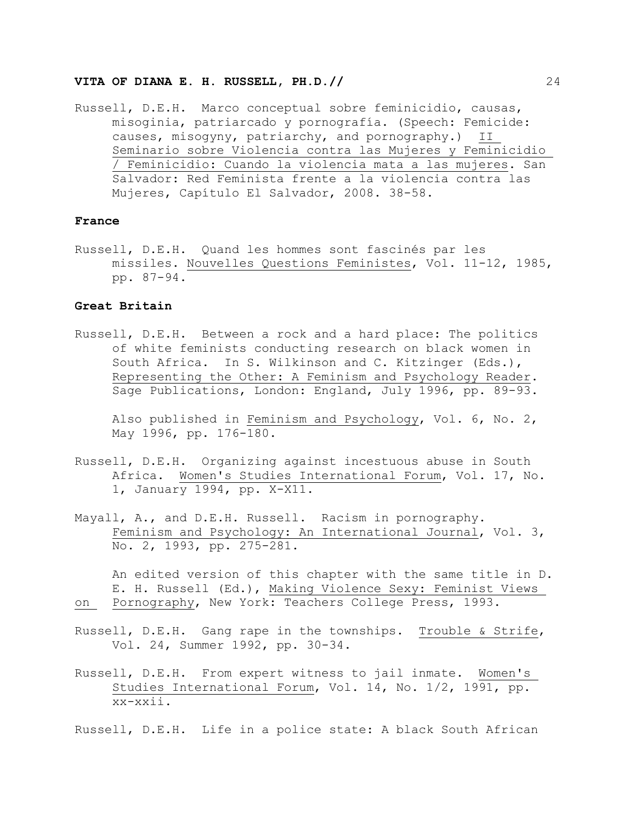Russell, D.E.H. Marco conceptual sobre feminicidio, causas, misoginia, patriarcado y pornografía. (Speech: Femicide: causes, misogyny, patriarchy, and pornography.) II Seminario sobre Violencia contra las Mujeres y Feminicidio / Feminicidio: Cuando la violencia mata a las mujeres. San Salvador: Red Feminista frente a la violencia contra las Mujeres, Capítulo El Salvador, 2008. 38-58.

#### **France**

Russell, D.E.H. Quand les hommes sont fascinés par les missiles. Nouvelles Questions Feministes, Vol. 11-12, 1985, pp. 87-94.

## **Great Britain**

Russell, D.E.H. Between a rock and a hard place: The politics of white feminists conducting research on black women in South Africa. In S. Wilkinson and C. Kitzinger (Eds.), Representing the Other: A Feminism and Psychology Reader. Sage Publications, London: England, July 1996, pp. 89-93.

Also published in Feminism and Psychology, Vol. 6, No. 2, May 1996, pp. 176-180.

- Russell, D.E.H. Organizing against incestuous abuse in South Africa. Women's Studies International Forum, Vol. 17, No. 1, January 1994, pp. X-X11.
- Mayall, A., and D.E.H. Russell. Racism in pornography. Feminism and Psychology: An International Journal, Vol. 3, No. 2, 1993, pp. 275-281.

An edited version of this chapter with the same title in D. E. H. Russell (Ed.), Making Violence Sexy: Feminist Views on Pornography, New York: Teachers College Press, 1993.

- Russell, D.E.H. Gang rape in the townships. Trouble & Strife, Vol. 24, Summer 1992, pp. 30-34.
- Russell, D.E.H. From expert witness to jail inmate. Women's Studies International Forum, Vol. 14, No. 1/2, 1991, pp. xx-xxii.

Russell, D.E.H. Life in a police state: A black South African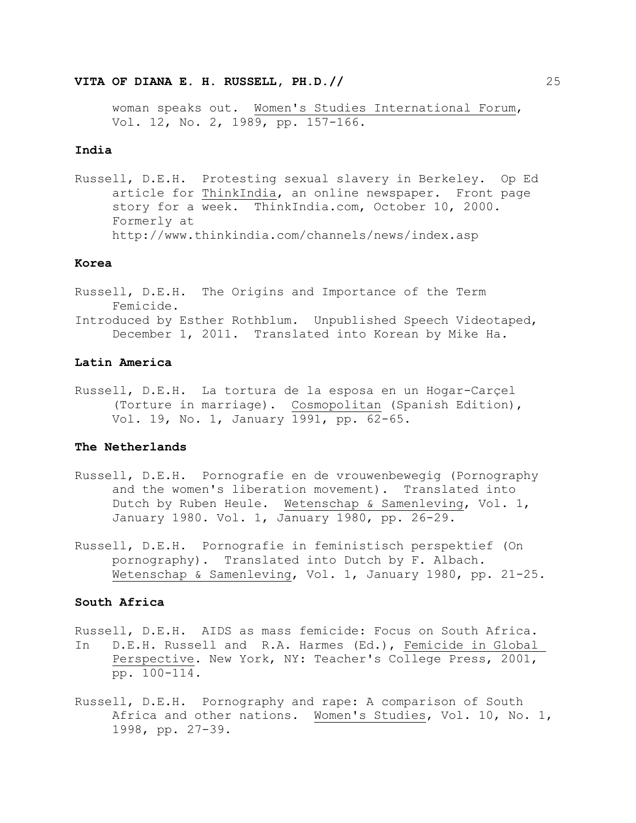woman speaks out. Women's Studies International Forum, Vol. 12, No. 2, 1989, pp. 157-166.

#### **India**

Russell, D.E.H. Protesting sexual slavery in Berkeley. Op Ed article for ThinkIndia, an online newspaper. Front page story for a week. ThinkIndia.com, October 10, 2000. Formerly at http://www.thinkindia.com/channels/news/index.asp

### **Korea**

Russell, D.E.H. The Origins and Importance of the Term Femicide. Introduced by Esther Rothblum. Unpublished Speech Videotaped, December 1, 2011. Translated into Korean by Mike Ha.

## **Latin America**

Russell, D.E.H. La tortura de la esposa en un Hogar-Carçel (Torture in marriage). Cosmopolitan (Spanish Edition), Vol. 19, No. 1, January 1991, pp. 62-65.

# **The Netherlands**

- Russell, D.E.H. Pornografie en de vrouwenbewegig (Pornography and the women's liberation movement). Translated into Dutch by Ruben Heule. Wetenschap & Samenleving, Vol. 1, January 1980. Vol. 1, January 1980, pp. 26-29.
- Russell, D.E.H. Pornografie in feministisch perspektief (On pornography). Translated into Dutch by F. Albach. Wetenschap & Samenleving, Vol. 1, January 1980, pp. 21-25.

# **South Africa**

- Russell, D.E.H. AIDS as mass femicide: Focus on South Africa. In D.E.H. Russell and R.A. Harmes (Ed.), Femicide in Global Perspective. New York, NY: Teacher's College Press, 2001, pp. 100-114.
- Russell, D.E.H. Pornography and rape: A comparison of South Africa and other nations. Women's Studies, Vol. 10, No. 1, 1998, pp. 27-39.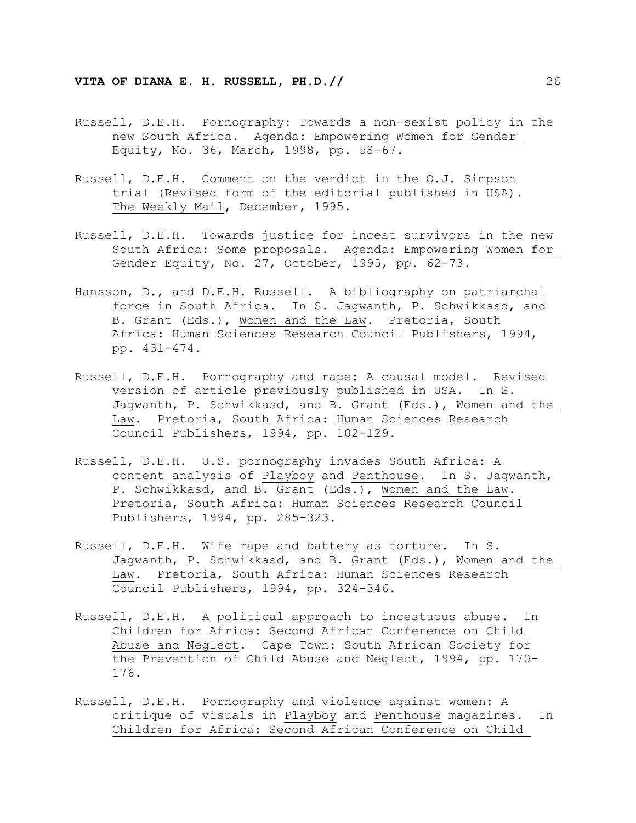- Russell, D.E.H. Pornography: Towards a non-sexist policy in the new South Africa. Agenda: Empowering Women for Gender Equity, No. 36, March, 1998, pp. 58-67.
- Russell, D.E.H. Comment on the verdict in the O.J. Simpson trial (Revised form of the editorial published in USA). The Weekly Mail, December, 1995.
- Russell, D.E.H. Towards justice for incest survivors in the new South Africa: Some proposals. Agenda: Empowering Women for Gender Equity, No. 27, October, 1995, pp. 62-73.
- Hansson, D., and D.E.H. Russell. A bibliography on patriarchal force in South Africa. In S. Jagwanth, P. Schwikkasd, and B. Grant (Eds.), Women and the Law. Pretoria, South Africa: Human Sciences Research Council Publishers, 1994, pp. 431-474.
- Russell, D.E.H. Pornography and rape: A causal model. Revised version of article previously published in USA. In S. Jagwanth, P. Schwikkasd, and B. Grant (Eds.), Women and the Law. Pretoria, South Africa: Human Sciences Research Council Publishers, 1994, pp. 102-129.
- Russell, D.E.H. U.S. pornography invades South Africa: A content analysis of Playboy and Penthouse. In S. Jagwanth, P. Schwikkasd, and B. Grant (Eds.), Women and the Law. Pretoria, South Africa: Human Sciences Research Council Publishers, 1994, pp. 285-323.
- Russell, D.E.H. Wife rape and battery as torture. In S. Jagwanth, P. Schwikkasd, and B. Grant (Eds.), Women and the Law. Pretoria, South Africa: Human Sciences Research Council Publishers, 1994, pp. 324-346.
- Russell, D.E.H. A political approach to incestuous abuse. In Children for Africa: Second African Conference on Child Abuse and Neglect. Cape Town: South African Society for the Prevention of Child Abuse and Neglect, 1994, pp. 170- 176.
- Russell, D.E.H. Pornography and violence against women: A critique of visuals in Playboy and Penthouse magazines. In Children for Africa: Second African Conference on Child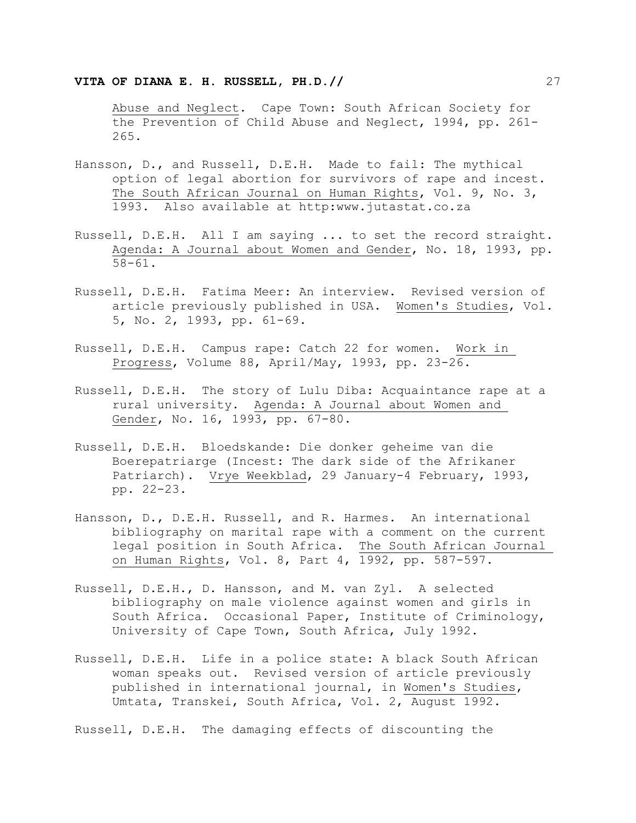Abuse and Neglect. Cape Town: South African Society for the Prevention of Child Abuse and Neglect, 1994, pp. 261- 265.

- Hansson, D., and Russell, D.E.H. Made to fail: The mythical option of legal abortion for survivors of rape and incest. The South African Journal on Human Rights, Vol. 9, No. 3, 1993. Also available at http:www.jutastat.co.za
- Russell, D.E.H. All I am saying ... to set the record straight. Agenda: A Journal about Women and Gender, No. 18, 1993, pp. 58-61.
- Russell, D.E.H. Fatima Meer: An interview. Revised version of article previously published in USA. Women's Studies, Vol. 5, No. 2, 1993, pp. 61-69.
- Russell, D.E.H. Campus rape: Catch 22 for women. Work in Progress, Volume 88, April/May, 1993, pp. 23-26.
- Russell, D.E.H. The story of Lulu Diba: Acquaintance rape at a rural university. Agenda: A Journal about Women and Gender, No. 16, 1993, pp. 67-80.
- Russell, D.E.H. Bloedskande: Die donker geheime van die Boerepatriarge (Incest: The dark side of the Afrikaner Patriarch). Vrye Weekblad, 29 January-4 February, 1993, pp. 22-23.
- Hansson, D., D.E.H. Russell, and R. Harmes. An international bibliography on marital rape with a comment on the current legal position in South Africa. The South African Journal on Human Rights, Vol. 8, Part 4, 1992, pp. 587-597.
- Russell, D.E.H., D. Hansson, and M. van Zyl. A selected bibliography on male violence against women and girls in South Africa. Occasional Paper, Institute of Criminology, University of Cape Town, South Africa, July 1992.
- Russell, D.E.H. Life in a police state: A black South African woman speaks out. Revised version of article previously published in international journal, in Women's Studies, Umtata, Transkei, South Africa, Vol. 2, August 1992.

Russell, D.E.H. The damaging effects of discounting the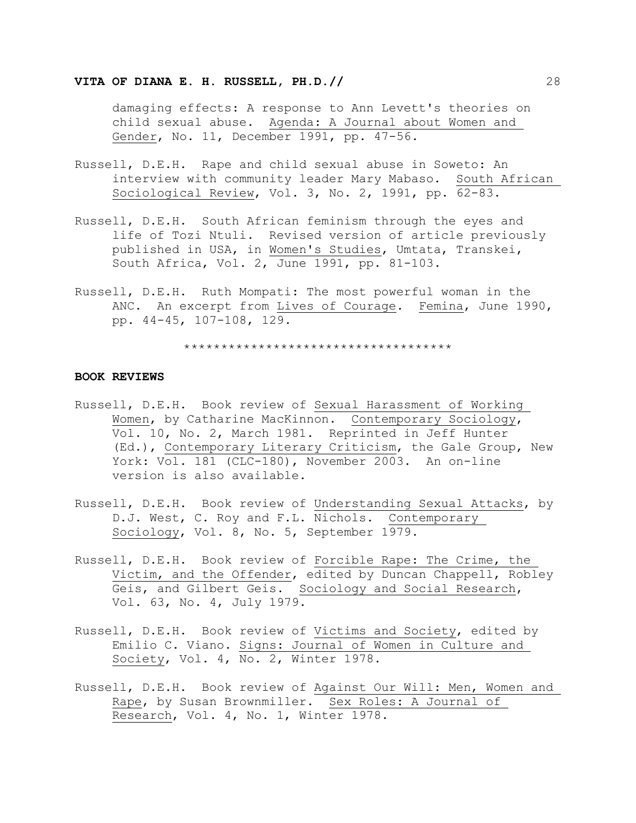damaging effects: A response to Ann Levett's theories on child sexual abuse. Agenda: A Journal about Women and Gender, No. 11, December 1991, pp. 47-56.

- Russell, D.E.H. Rape and child sexual abuse in Soweto: An interview with community leader Mary Mabaso. South African Sociological Review, Vol. 3, No. 2, 1991, pp. 62-83.
- Russell, D.E.H. South African feminism through the eyes and life of Tozi Ntuli. Revised version of article previously published in USA, in Women's Studies, Umtata, Transkei, South Africa, Vol. 2, June 1991, pp. 81-103.
- Russell, D.E.H. Ruth Mompati: The most powerful woman in the ANC. An excerpt from Lives of Courage. Femina, June 1990, pp. 44-45, 107-108, 129.

\*\*\*\*\*\*\*\*\*\*\*\*\*\*\*\*\*\*\*\*\*\*\*\*\*\*\*\*\*\*\*\*\*\*\*\*

# **BOOK REVIEWS**

- Russell, D.E.H. Book review of Sexual Harassment of Working Women, by Catharine MacKinnon. Contemporary Sociology, Vol. 10, No. 2, March 1981. Reprinted in Jeff Hunter (Ed.), Contemporary Literary Criticism, the Gale Group, New York: Vol. 181 (CLC-180), November 2003. An on-line version is also available.
- Russell, D.E.H. Book review of Understanding Sexual Attacks, by D.J. West, C. Roy and F.L. Nichols. Contemporary Sociology, Vol. 8, No. 5, September 1979.
- Russell, D.E.H. Book review of Forcible Rape: The Crime, the Victim, and the Offender, edited by Duncan Chappell, Robley Geis, and Gilbert Geis. Sociology and Social Research, Vol. 63, No. 4, July 1979.
- Russell, D.E.H. Book review of Victims and Society, edited by Emilio C. Viano. Signs: Journal of Women in Culture and Society, Vol. 4, No. 2, Winter 1978.
- Russell, D.E.H. Book review of Against Our Will: Men, Women and Rape, by Susan Brownmiller. Sex Roles: A Journal of Research, Vol. 4, No. 1, Winter 1978.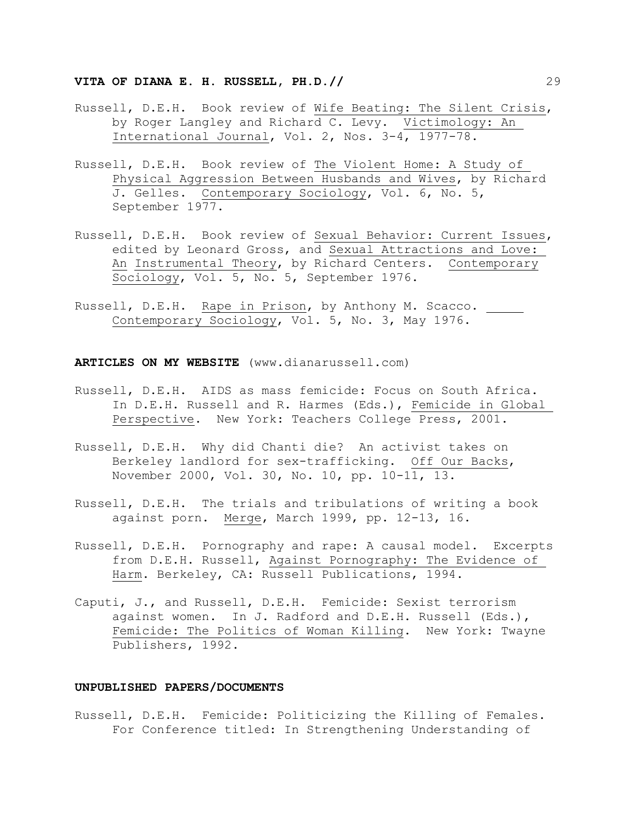- Russell, D.E.H. Book review of Wife Beating: The Silent Crisis, by Roger Langley and Richard C. Levy. Victimology: An International Journal, Vol. 2, Nos. 3-4, 1977-78.
- Russell, D.E.H. Book review of The Violent Home: A Study of Physical Aggression Between Husbands and Wives, by Richard J. Gelles. Contemporary Sociology, Vol. 6, No. 5, September 1977.
- Russell, D.E.H. Book review of Sexual Behavior: Current Issues, edited by Leonard Gross, and Sexual Attractions and Love: An Instrumental Theory, by Richard Centers. Contemporary Sociology, Vol. 5, No. 5, September 1976.
- Russell, D.E.H. Rape in Prison, by Anthony M. Scacco. Contemporary Sociology, Vol. 5, No. 3, May 1976.

**ARTICLES ON MY WEBSITE** (www.dianarussell.com)

- Russell, D.E.H. AIDS as mass femicide: Focus on South Africa. In D.E.H. Russell and R. Harmes (Eds.), Femicide in Global Perspective. New York: Teachers College Press, 2001.
- Russell, D.E.H. Why did Chanti die? An activist takes on Berkeley landlord for sex-trafficking. Off Our Backs, November 2000, Vol. 30, No. 10, pp. 10-11, 13.
- Russell, D.E.H. The trials and tribulations of writing a book against porn. Merge, March 1999, pp. 12-13, 16.
- Russell, D.E.H. Pornography and rape: A causal model. Excerpts from D.E.H. Russell, Against Pornography: The Evidence of Harm. Berkeley, CA: Russell Publications, 1994.
- Caputi, J., and Russell, D.E.H. Femicide: Sexist terrorism against women. In J. Radford and D.E.H. Russell (Eds.), Femicide: The Politics of Woman Killing. New York: Twayne Publishers, 1992.

#### **UNPUBLISHED PAPERS/DOCUMENTS**

Russell, D.E.H. Femicide: Politicizing the Killing of Females. For Conference titled: In Strengthening Understanding of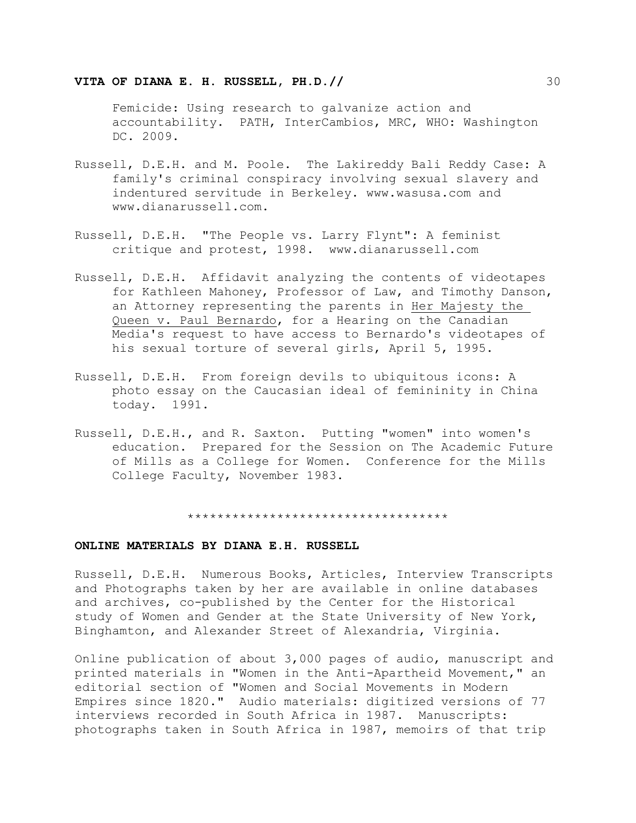Femicide: Using research to galvanize action and accountability. PATH, InterCambios, MRC, WHO: Washington DC. 2009.

- Russell, D.E.H. and M. Poole. The Lakireddy Bali Reddy Case: A family's criminal conspiracy involving sexual slavery and indentured servitude in Berkeley. www.wasusa.com and www.dianarussell.com.
- Russell, D.E.H. "The People vs. Larry Flynt": A feminist critique and protest, 1998. www.dianarussell.com
- Russell, D.E.H. Affidavit analyzing the contents of videotapes for Kathleen Mahoney, Professor of Law, and Timothy Danson, an Attorney representing the parents in Her Majesty the Queen v. Paul Bernardo, for a Hearing on the Canadian Media's request to have access to Bernardo's videotapes of his sexual torture of several girls, April 5, 1995.
- Russell, D.E.H. From foreign devils to ubiquitous icons: A photo essay on the Caucasian ideal of femininity in China today. 1991.
- Russell, D.E.H., and R. Saxton. Putting "women" into women's education. Prepared for the Session on The Academic Future of Mills as a College for Women. Conference for the Mills College Faculty, November 1983.

\*\*\*\*\*\*\*\*\*\*\*\*\*\*\*\*\*\*\*\*\*\*\*\*\*\*\*\*\*\*\*\*\*\*\*

#### **ONLINE MATERIALS BY DIANA E.H. RUSSELL**

Russell, D.E.H. Numerous Books, Articles, Interview Transcripts and Photographs taken by her are available in online databases and archives, co-published by the Center for the Historical study of Women and Gender at the State University of New York, Binghamton, and Alexander Street of Alexandria, Virginia.

Online publication of about 3,000 pages of audio, manuscript and printed materials in "Women in the Anti-Apartheid Movement," an editorial section of "Women and Social Movements in Modern Empires since 1820." Audio materials: digitized versions of 77 interviews recorded in South Africa in 1987. Manuscripts: photographs taken in South Africa in 1987, memoirs of that trip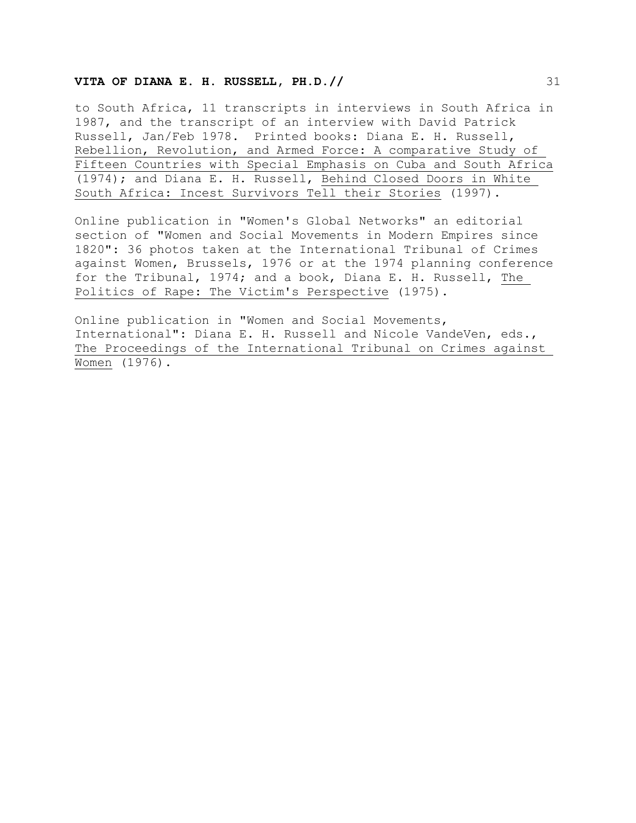## **VITA OF DIANA E. H. RUSSELL, PH.D.//**  $\frac{31}{2}$

to South Africa, 11 transcripts in interviews in South Africa in 1987, and the transcript of an interview with David Patrick Russell, Jan/Feb 1978. Printed books: Diana E. H. Russell, Rebellion, Revolution, and Armed Force: A comparative Study of Fifteen Countries with Special Emphasis on Cuba and South Africa (1974); and Diana E. H. Russell, Behind Closed Doors in White South Africa: Incest Survivors Tell their Stories (1997).

Online publication in "Women's Global Networks" an editorial section of "Women and Social Movements in Modern Empires since 1820": 36 photos taken at the International Tribunal of Crimes against Women, Brussels, 1976 or at the 1974 planning conference for the Tribunal, 1974; and a book, Diana E. H. Russell, The Politics of Rape: The Victim's Perspective (1975).

Online publication in "Women and Social Movements, International": Diana E. H. Russell and Nicole VandeVen, eds., The Proceedings of the International Tribunal on Crimes against Women (1976).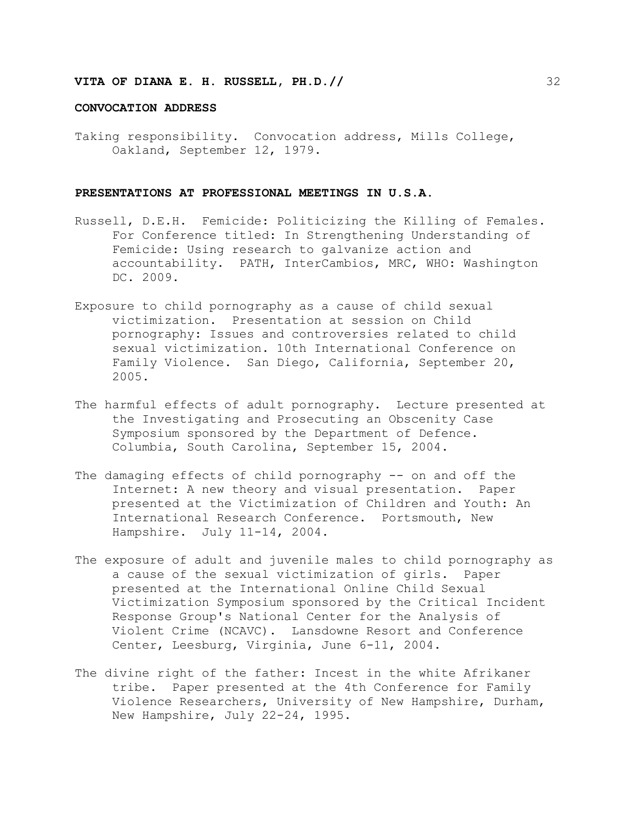#### **CONVOCATION ADDRESS**

Taking responsibility. Convocation address, Mills College, Oakland, September 12, 1979.

#### **PRESENTATIONS AT PROFESSIONAL MEETINGS IN U.S.A.**

- Russell, D.E.H. Femicide: Politicizing the Killing of Females. For Conference titled: In Strengthening Understanding of Femicide: Using research to galvanize action and accountability. PATH, InterCambios, MRC, WHO: Washington DC. 2009.
- Exposure to child pornography as a cause of child sexual victimization. Presentation at session on Child pornography: Issues and controversies related to child sexual victimization. 10th International Conference on Family Violence. San Diego, California, September 20, 2005.
- The harmful effects of adult pornography. Lecture presented at the Investigating and Prosecuting an Obscenity Case Symposium sponsored by the Department of Defence. Columbia, South Carolina, September 15, 2004.
- The damaging effects of child pornography -- on and off the Internet: A new theory and visual presentation. Paper presented at the Victimization of Children and Youth: An International Research Conference. Portsmouth, New Hampshire. July 11-14, 2004.
- The exposure of adult and juvenile males to child pornography as a cause of the sexual victimization of girls. Paper presented at the International Online Child Sexual Victimization Symposium sponsored by the Critical Incident Response Group's National Center for the Analysis of Violent Crime (NCAVC). Lansdowne Resort and Conference Center, Leesburg, Virginia, June 6-11, 2004.
- The divine right of the father: Incest in the white Afrikaner tribe. Paper presented at the 4th Conference for Family Violence Researchers, University of New Hampshire, Durham, New Hampshire, July 22-24, 1995.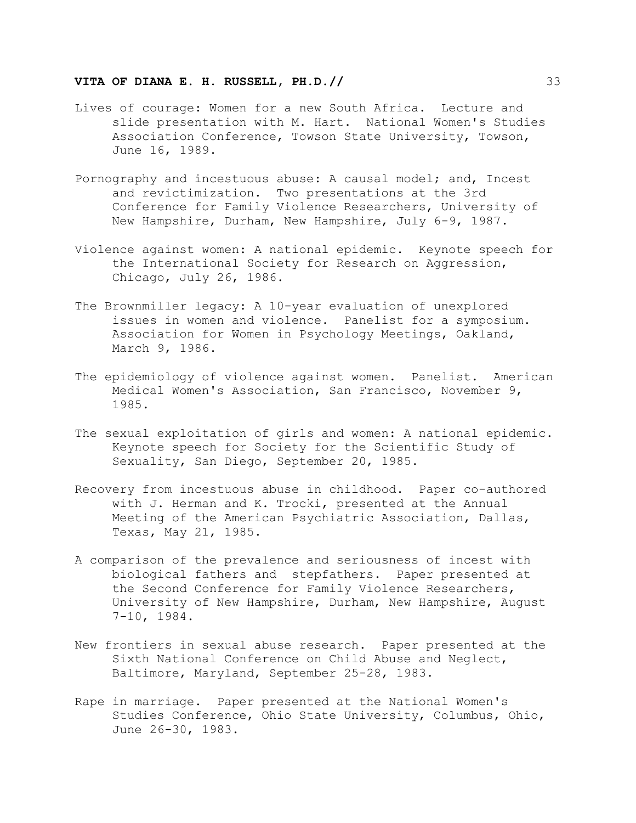- Lives of courage: Women for a new South Africa. Lecture and slide presentation with M. Hart. National Women's Studies Association Conference, Towson State University, Towson, June 16, 1989.
- Pornography and incestuous abuse: A causal model; and, Incest and revictimization. Two presentations at the 3rd Conference for Family Violence Researchers, University of New Hampshire, Durham, New Hampshire, July 6-9, 1987.
- Violence against women: A national epidemic. Keynote speech for the International Society for Research on Aggression, Chicago, July 26, 1986.
- The Brownmiller legacy: A 10-year evaluation of unexplored issues in women and violence. Panelist for a symposium. Association for Women in Psychology Meetings, Oakland, March 9, 1986.
- The epidemiology of violence against women. Panelist. American Medical Women's Association, San Francisco, November 9, 1985.
- The sexual exploitation of girls and women: A national epidemic. Keynote speech for Society for the Scientific Study of Sexuality, San Diego, September 20, 1985.
- Recovery from incestuous abuse in childhood. Paper co-authored with J. Herman and K. Trocki, presented at the Annual Meeting of the American Psychiatric Association, Dallas, Texas, May 21, 1985.
- A comparison of the prevalence and seriousness of incest with biological fathers and stepfathers. Paper presented at the Second Conference for Family Violence Researchers, University of New Hampshire, Durham, New Hampshire, August 7-10, 1984.
- New frontiers in sexual abuse research. Paper presented at the Sixth National Conference on Child Abuse and Neglect, Baltimore, Maryland, September 25-28, 1983.
- Rape in marriage. Paper presented at the National Women's Studies Conference, Ohio State University, Columbus, Ohio, June 26-30, 1983.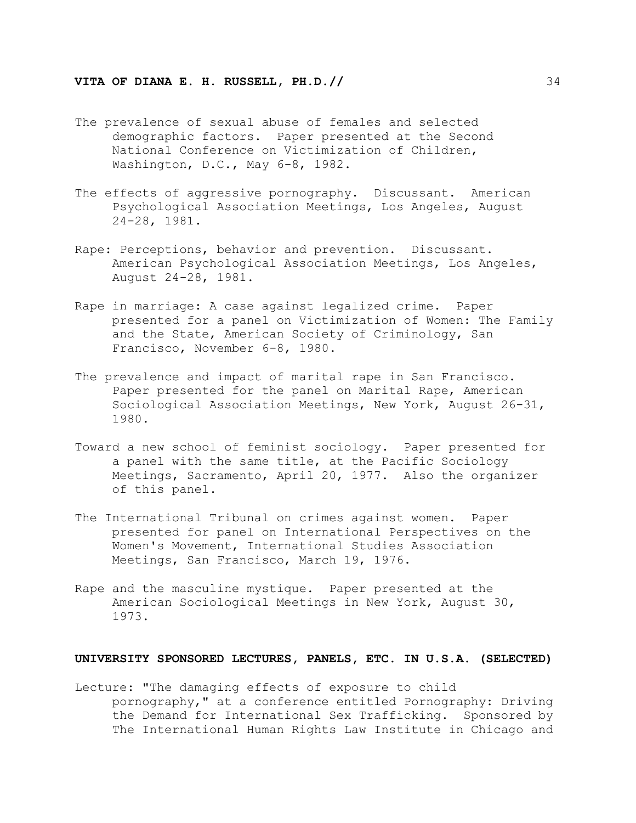- The prevalence of sexual abuse of females and selected demographic factors. Paper presented at the Second National Conference on Victimization of Children, Washington, D.C., May 6-8, 1982.
- The effects of aggressive pornography. Discussant. American Psychological Association Meetings, Los Angeles, August 24-28, 1981.
- Rape: Perceptions, behavior and prevention. Discussant. American Psychological Association Meetings, Los Angeles, August 24-28, 1981.
- Rape in marriage: A case against legalized crime. Paper presented for a panel on Victimization of Women: The Family and the State, American Society of Criminology, San Francisco, November 6-8, 1980.
- The prevalence and impact of marital rape in San Francisco. Paper presented for the panel on Marital Rape, American Sociological Association Meetings, New York, August 26-31, 1980.
- Toward a new school of feminist sociology. Paper presented for a panel with the same title, at the Pacific Sociology Meetings, Sacramento, April 20, 1977. Also the organizer of this panel.
- The International Tribunal on crimes against women. Paper presented for panel on International Perspectives on the Women's Movement, International Studies Association Meetings, San Francisco, March 19, 1976.
- Rape and the masculine mystique. Paper presented at the American Sociological Meetings in New York, August 30, 1973.

#### **UNIVERSITY SPONSORED LECTURES, PANELS, ETC. IN U.S.A. (SELECTED)**

Lecture: "The damaging effects of exposure to child pornography," at a conference entitled Pornography: Driving the Demand for International Sex Trafficking. Sponsored by The International Human Rights Law Institute in Chicago and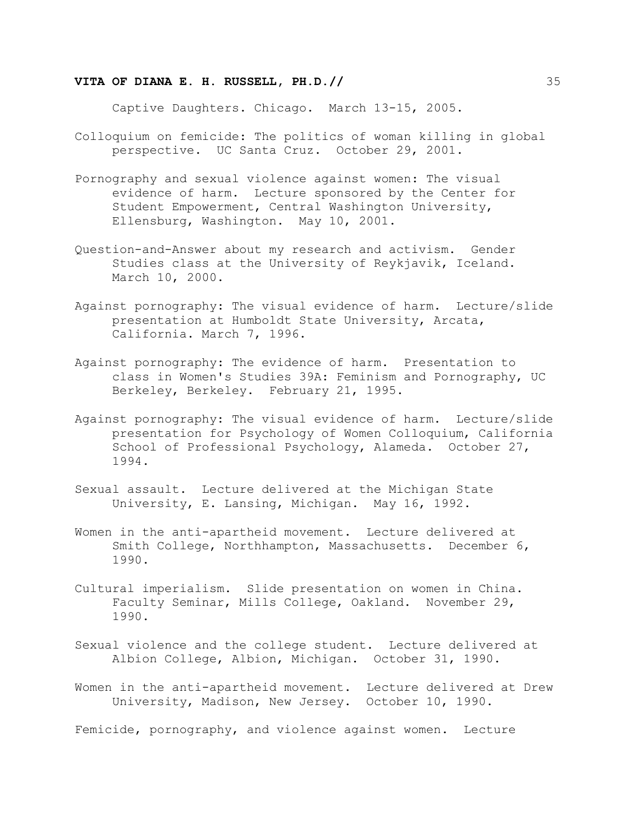Captive Daughters. Chicago. March 13-15, 2005.

- Colloquium on femicide: The politics of woman killing in global perspective. UC Santa Cruz. October 29, 2001.
- Pornography and sexual violence against women: The visual evidence of harm. Lecture sponsored by the Center for Student Empowerment, Central Washington University, Ellensburg, Washington. May 10, 2001.
- Question-and-Answer about my research and activism. Gender Studies class at the University of Reykjavik, Iceland. March 10, 2000.
- Against pornography: The visual evidence of harm. Lecture/slide presentation at Humboldt State University, Arcata, California. March 7, 1996.
- Against pornography: The evidence of harm. Presentation to class in Women's Studies 39A: Feminism and Pornography, UC Berkeley, Berkeley. February 21, 1995.
- Against pornography: The visual evidence of harm. Lecture/slide presentation for Psychology of Women Colloquium, California School of Professional Psychology, Alameda. October 27, 1994.
- Sexual assault. Lecture delivered at the Michigan State University, E. Lansing, Michigan. May 16, 1992.
- Women in the anti-apartheid movement. Lecture delivered at Smith College, Northhampton, Massachusetts. December 6, 1990.
- Cultural imperialism. Slide presentation on women in China. Faculty Seminar, Mills College, Oakland. November 29, 1990.
- Sexual violence and the college student. Lecture delivered at Albion College, Albion, Michigan. October 31, 1990.
- Women in the anti-apartheid movement. Lecture delivered at Drew University, Madison, New Jersey. October 10, 1990.

Femicide, pornography, and violence against women. Lecture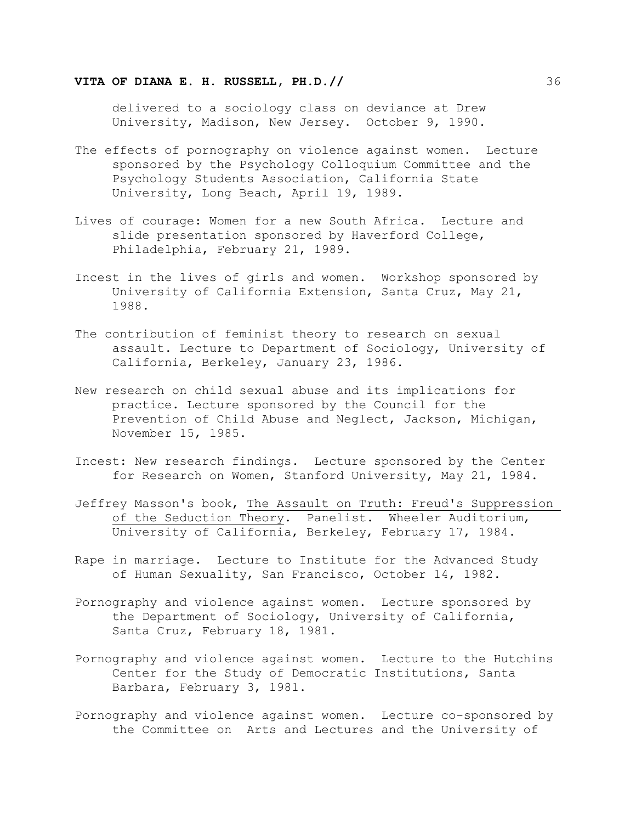delivered to a sociology class on deviance at Drew University, Madison, New Jersey. October 9, 1990.

- The effects of pornography on violence against women. Lecture sponsored by the Psychology Colloquium Committee and the Psychology Students Association, California State University, Long Beach, April 19, 1989.
- Lives of courage: Women for a new South Africa. Lecture and slide presentation sponsored by Haverford College, Philadelphia, February 21, 1989.
- Incest in the lives of girls and women. Workshop sponsored by University of California Extension, Santa Cruz, May 21, 1988.
- The contribution of feminist theory to research on sexual assault. Lecture to Department of Sociology, University of California, Berkeley, January 23, 1986.
- New research on child sexual abuse and its implications for practice. Lecture sponsored by the Council for the Prevention of Child Abuse and Neglect, Jackson, Michigan, November 15, 1985.
- Incest: New research findings. Lecture sponsored by the Center for Research on Women, Stanford University, May 21, 1984.
- Jeffrey Masson's book, The Assault on Truth: Freud's Suppression of the Seduction Theory. Panelist. Wheeler Auditorium, University of California, Berkeley, February 17, 1984.
- Rape in marriage. Lecture to Institute for the Advanced Study of Human Sexuality, San Francisco, October 14, 1982.
- Pornography and violence against women. Lecture sponsored by the Department of Sociology, University of California, Santa Cruz, February 18, 1981.
- Pornography and violence against women. Lecture to the Hutchins Center for the Study of Democratic Institutions, Santa Barbara, February 3, 1981.
- Pornography and violence against women. Lecture co-sponsored by the Committee on Arts and Lectures and the University of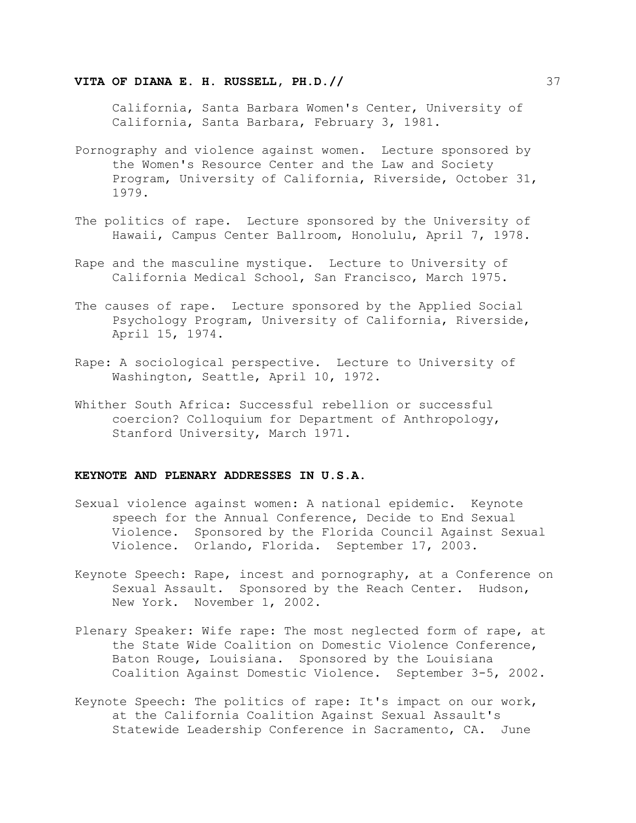### **VITA OF DIANA E. H. RUSSELL, PH.D.//**  $\frac{37}{ }$

California, Santa Barbara Women's Center, University of California, Santa Barbara, February 3, 1981.

- Pornography and violence against women. Lecture sponsored by the Women's Resource Center and the Law and Society Program, University of California, Riverside, October 31, 1979.
- The politics of rape. Lecture sponsored by the University of Hawaii, Campus Center Ballroom, Honolulu, April 7, 1978.
- Rape and the masculine mystique. Lecture to University of California Medical School, San Francisco, March 1975.
- The causes of rape. Lecture sponsored by the Applied Social Psychology Program, University of California, Riverside, April 15, 1974.
- Rape: A sociological perspective. Lecture to University of Washington, Seattle, April 10, 1972.
- Whither South Africa: Successful rebellion or successful coercion? Colloquium for Department of Anthropology, Stanford University, March 1971.

# **KEYNOTE AND PLENARY ADDRESSES IN U.S.A.**

- Sexual violence against women: A national epidemic. Keynote speech for the Annual Conference, Decide to End Sexual Violence. Sponsored by the Florida Council Against Sexual Violence. Orlando, Florida. September 17, 2003.
- Keynote Speech: Rape, incest and pornography, at a Conference on Sexual Assault. Sponsored by the Reach Center. Hudson, New York. November 1, 2002.
- Plenary Speaker: Wife rape: The most neglected form of rape, at the State Wide Coalition on Domestic Violence Conference, Baton Rouge, Louisiana. Sponsored by the Louisiana Coalition Against Domestic Violence. September 3-5, 2002.
- Keynote Speech: The politics of rape: It's impact on our work, at the California Coalition Against Sexual Assault's Statewide Leadership Conference in Sacramento, CA. June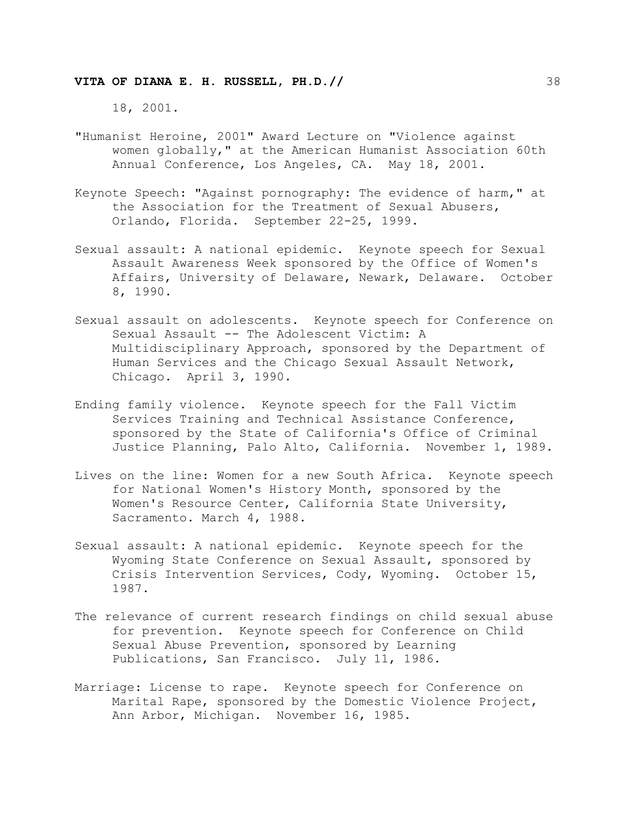18, 2001.

- "Humanist Heroine, 2001" Award Lecture on "Violence against women globally," at the American Humanist Association 60th Annual Conference, Los Angeles, CA. May 18, 2001.
- Keynote Speech: "Against pornography: The evidence of harm," at the Association for the Treatment of Sexual Abusers, Orlando, Florida. September 22-25, 1999.
- Sexual assault: A national epidemic. Keynote speech for Sexual Assault Awareness Week sponsored by the Office of Women's Affairs, University of Delaware, Newark, Delaware. October 8, 1990.
- Sexual assault on adolescents. Keynote speech for Conference on Sexual Assault -- The Adolescent Victim: A Multidisciplinary Approach, sponsored by the Department of Human Services and the Chicago Sexual Assault Network, Chicago. April 3, 1990.
- Ending family violence. Keynote speech for the Fall Victim Services Training and Technical Assistance Conference, sponsored by the State of California's Office of Criminal Justice Planning, Palo Alto, California. November 1, 1989.
- Lives on the line: Women for a new South Africa. Keynote speech for National Women's History Month, sponsored by the Women's Resource Center, California State University, Sacramento. March 4, 1988.
- Sexual assault: A national epidemic. Keynote speech for the Wyoming State Conference on Sexual Assault, sponsored by Crisis Intervention Services, Cody, Wyoming. October 15, 1987.
- The relevance of current research findings on child sexual abuse for prevention. Keynote speech for Conference on Child Sexual Abuse Prevention, sponsored by Learning Publications, San Francisco. July 11, 1986.
- Marriage: License to rape. Keynote speech for Conference on Marital Rape, sponsored by the Domestic Violence Project, Ann Arbor, Michigan. November 16, 1985.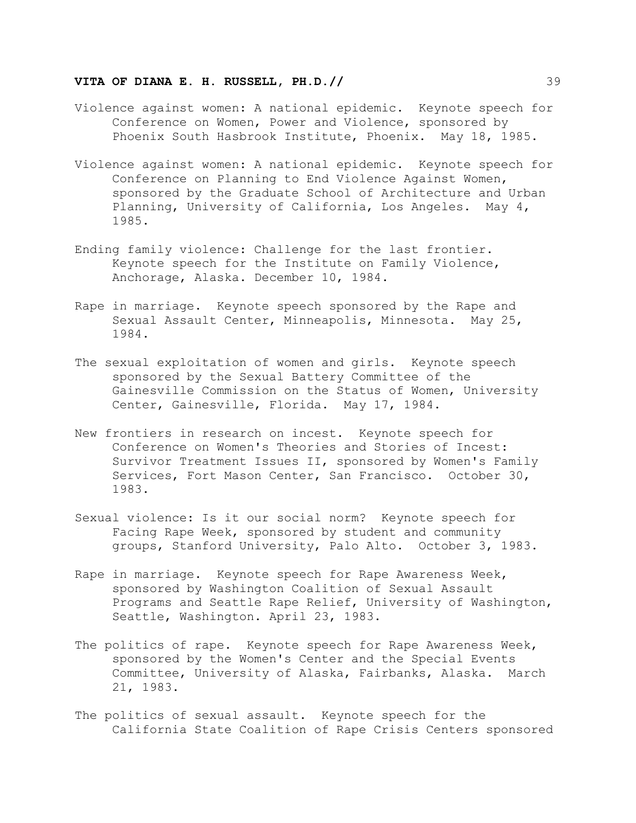- Violence against women: A national epidemic. Keynote speech for Conference on Women, Power and Violence, sponsored by Phoenix South Hasbrook Institute, Phoenix. May 18, 1985.
- Violence against women: A national epidemic. Keynote speech for Conference on Planning to End Violence Against Women, sponsored by the Graduate School of Architecture and Urban Planning, University of California, Los Angeles. May 4, 1985.
- Ending family violence: Challenge for the last frontier. Keynote speech for the Institute on Family Violence, Anchorage, Alaska. December 10, 1984.
- Rape in marriage. Keynote speech sponsored by the Rape and Sexual Assault Center, Minneapolis, Minnesota. May 25, 1984.
- The sexual exploitation of women and girls. Keynote speech sponsored by the Sexual Battery Committee of the Gainesville Commission on the Status of Women, University Center, Gainesville, Florida. May 17, 1984.
- New frontiers in research on incest. Keynote speech for Conference on Women's Theories and Stories of Incest: Survivor Treatment Issues II, sponsored by Women's Family Services, Fort Mason Center, San Francisco. October 30, 1983.
- Sexual violence: Is it our social norm? Keynote speech for Facing Rape Week, sponsored by student and community groups, Stanford University, Palo Alto. October 3, 1983.
- Rape in marriage. Keynote speech for Rape Awareness Week, sponsored by Washington Coalition of Sexual Assault Programs and Seattle Rape Relief, University of Washington, Seattle, Washington. April 23, 1983.
- The politics of rape. Keynote speech for Rape Awareness Week, sponsored by the Women's Center and the Special Events Committee, University of Alaska, Fairbanks, Alaska. March 21, 1983.
- The politics of sexual assault. Keynote speech for the California State Coalition of Rape Crisis Centers sponsored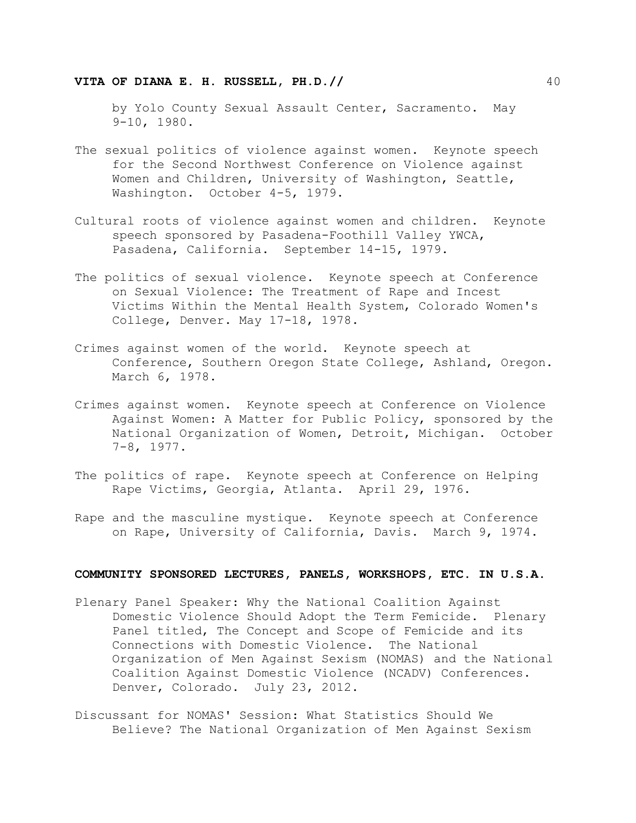by Yolo County Sexual Assault Center, Sacramento. May 9-10, 1980.

- The sexual politics of violence against women. Keynote speech for the Second Northwest Conference on Violence against Women and Children, University of Washington, Seattle, Washington. October 4-5, 1979.
- Cultural roots of violence against women and children. Keynote speech sponsored by Pasadena-Foothill Valley YWCA, Pasadena, California. September 14-15, 1979.
- The politics of sexual violence. Keynote speech at Conference on Sexual Violence: The Treatment of Rape and Incest Victims Within the Mental Health System, Colorado Women's College, Denver. May 17-18, 1978.
- Crimes against women of the world. Keynote speech at Conference, Southern Oregon State College, Ashland, Oregon. March 6, 1978.
- Crimes against women. Keynote speech at Conference on Violence Against Women: A Matter for Public Policy, sponsored by the National Organization of Women, Detroit, Michigan. October 7-8, 1977.
- The politics of rape. Keynote speech at Conference on Helping Rape Victims, Georgia, Atlanta. April 29, 1976.
- Rape and the masculine mystique. Keynote speech at Conference on Rape, University of California, Davis. March 9, 1974.

# **COMMUNITY SPONSORED LECTURES, PANELS, WORKSHOPS, ETC. IN U.S.A.**

- Plenary Panel Speaker: Why the National Coalition Against Domestic Violence Should Adopt the Term Femicide. Plenary Panel titled, The Concept and Scope of Femicide and its Connections with Domestic Violence. The National Organization of Men Against Sexism (NOMAS) and the National Coalition Against Domestic Violence (NCADV) Conferences. Denver, Colorado. July 23, 2012.
- Discussant for NOMAS' Session: What Statistics Should We Believe? The National Organization of Men Against Sexism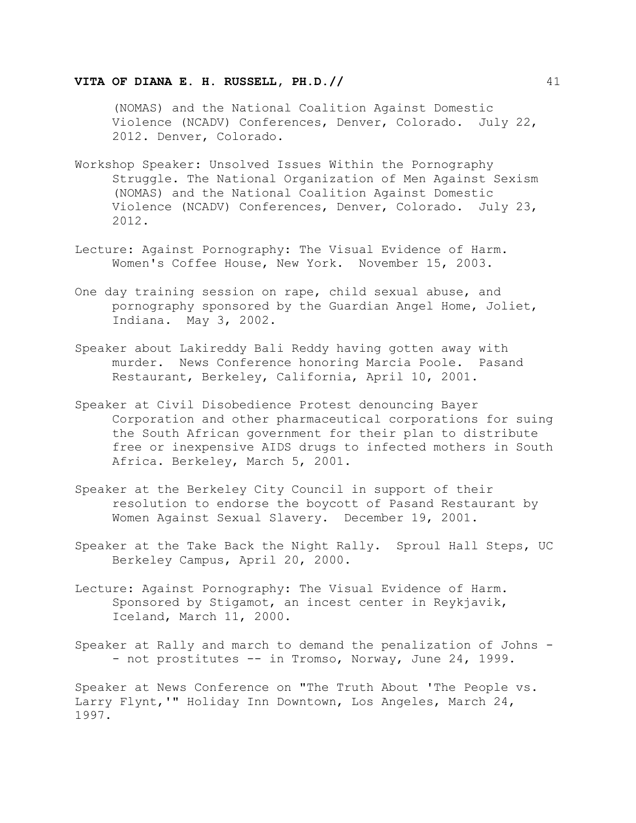(NOMAS) and the National Coalition Against Domestic Violence (NCADV) Conferences, Denver, Colorado. July 22, 2012. Denver, Colorado.

- Workshop Speaker: Unsolved Issues Within the Pornography Struggle. The National Organization of Men Against Sexism (NOMAS) and the National Coalition Against Domestic Violence (NCADV) Conferences, Denver, Colorado. July 23, 2012.
- Lecture: Against Pornography: The Visual Evidence of Harm. Women's Coffee House, New York. November 15, 2003.
- One day training session on rape, child sexual abuse, and pornography sponsored by the Guardian Angel Home, Joliet, Indiana. May 3, 2002.
- Speaker about Lakireddy Bali Reddy having gotten away with murder. News Conference honoring Marcia Poole. Pasand Restaurant, Berkeley, California, April 10, 2001.
- Speaker at Civil Disobedience Protest denouncing Bayer Corporation and other pharmaceutical corporations for suing the South African government for their plan to distribute free or inexpensive AIDS drugs to infected mothers in South Africa. Berkeley, March 5, 2001.
- Speaker at the Berkeley City Council in support of their resolution to endorse the boycott of Pasand Restaurant by Women Against Sexual Slavery. December 19, 2001.
- Speaker at the Take Back the Night Rally. Sproul Hall Steps, UC Berkeley Campus, April 20, 2000.
- Lecture: Against Pornography: The Visual Evidence of Harm. Sponsored by Stigamot, an incest center in Reykjavik, Iceland, March 11, 2000.

Speaker at Rally and march to demand the penalization of Johns - - not prostitutes -- in Tromso, Norway, June 24, 1999.

Speaker at News Conference on "The Truth About 'The People vs. Larry Flynt,'" Holiday Inn Downtown, Los Angeles, March 24, 1997.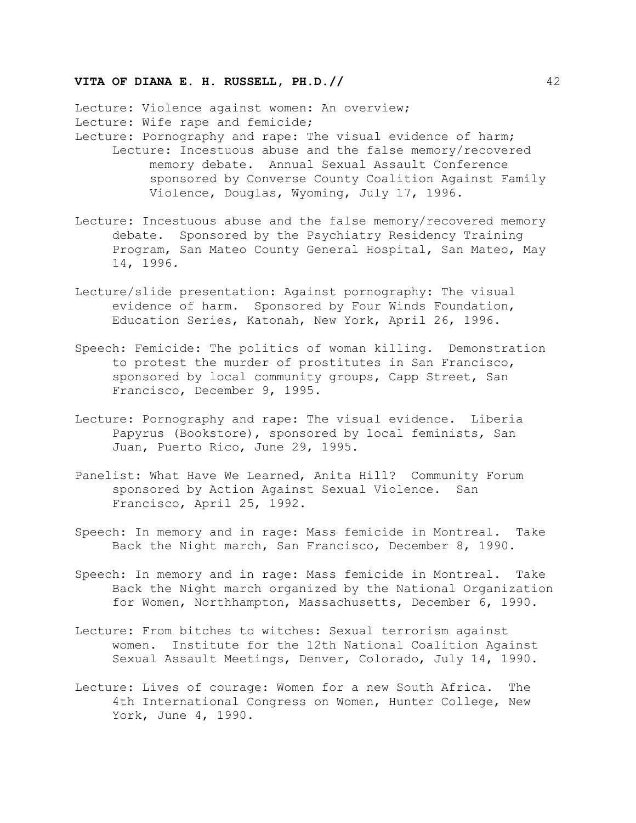Lecture: Violence against women: An overview; Lecture: Wife rape and femicide; Lecture: Pornography and rape: The visual evidence of harm; Lecture: Incestuous abuse and the false memory/recovered memory debate. Annual Sexual Assault Conference sponsored by Converse County Coalition Against Family Violence, Douglas, Wyoming, July 17, 1996.

- Lecture: Incestuous abuse and the false memory/recovered memory debate. Sponsored by the Psychiatry Residency Training Program, San Mateo County General Hospital, San Mateo, May 14, 1996.
- Lecture/slide presentation: Against pornography: The visual evidence of harm. Sponsored by Four Winds Foundation, Education Series, Katonah, New York, April 26, 1996.
- Speech: Femicide: The politics of woman killing. Demonstration to protest the murder of prostitutes in San Francisco, sponsored by local community groups, Capp Street, San Francisco, December 9, 1995.
- Lecture: Pornography and rape: The visual evidence. Liberia Papyrus (Bookstore), sponsored by local feminists, San Juan, Puerto Rico, June 29, 1995.
- Panelist: What Have We Learned, Anita Hill? Community Forum sponsored by Action Against Sexual Violence. San Francisco, April 25, 1992.
- Speech: In memory and in rage: Mass femicide in Montreal. Take Back the Night march, San Francisco, December 8, 1990.
- Speech: In memory and in rage: Mass femicide in Montreal. Take Back the Night march organized by the National Organization for Women, Northhampton, Massachusetts, December 6, 1990.
- Lecture: From bitches to witches: Sexual terrorism against women. Institute for the 12th National Coalition Against Sexual Assault Meetings, Denver, Colorado, July 14, 1990.
- Lecture: Lives of courage: Women for a new South Africa. The 4th International Congress on Women, Hunter College, New York, June 4, 1990.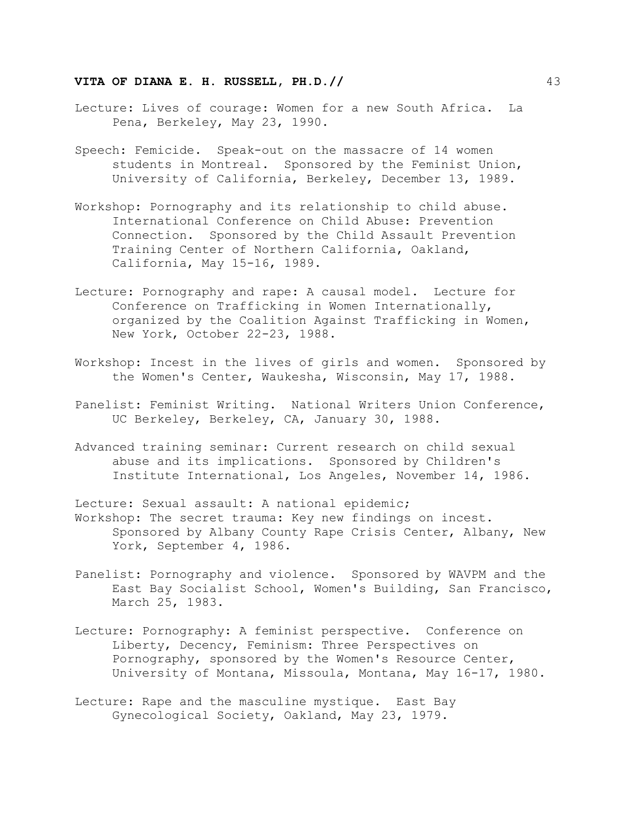- Lecture: Lives of courage: Women for a new South Africa. La Pena, Berkeley, May 23, 1990.
- Speech: Femicide. Speak-out on the massacre of 14 women students in Montreal. Sponsored by the Feminist Union, University of California, Berkeley, December 13, 1989.
- Workshop: Pornography and its relationship to child abuse. International Conference on Child Abuse: Prevention Connection. Sponsored by the Child Assault Prevention Training Center of Northern California, Oakland, California, May 15-16, 1989.
- Lecture: Pornography and rape: A causal model. Lecture for Conference on Trafficking in Women Internationally, organized by the Coalition Against Trafficking in Women, New York, October 22-23, 1988.
- Workshop: Incest in the lives of girls and women. Sponsored by the Women's Center, Waukesha, Wisconsin, May 17, 1988.
- Panelist: Feminist Writing. National Writers Union Conference, UC Berkeley, Berkeley, CA, January 30, 1988.
- Advanced training seminar: Current research on child sexual abuse and its implications. Sponsored by Children's Institute International, Los Angeles, November 14, 1986.
- Lecture: Sexual assault: A national epidemic; Workshop: The secret trauma: Key new findings on incest. Sponsored by Albany County Rape Crisis Center, Albany, New York, September 4, 1986.
- Panelist: Pornography and violence. Sponsored by WAVPM and the East Bay Socialist School, Women's Building, San Francisco, March 25, 1983.
- Lecture: Pornography: A feminist perspective. Conference on Liberty, Decency, Feminism: Three Perspectives on Pornography, sponsored by the Women's Resource Center, University of Montana, Missoula, Montana, May 16-17, 1980.
- Lecture: Rape and the masculine mystique. East Bay Gynecological Society, Oakland, May 23, 1979.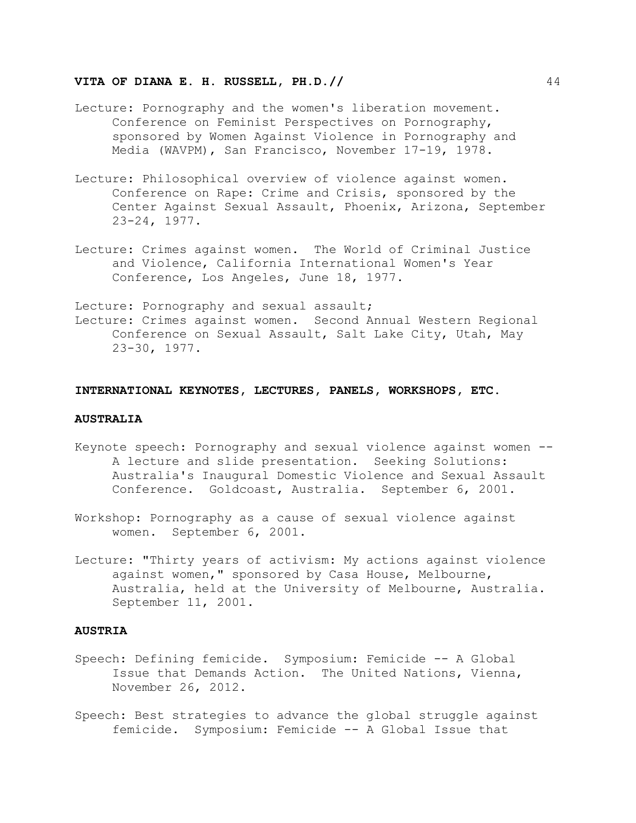- Lecture: Pornography and the women's liberation movement. Conference on Feminist Perspectives on Pornography, sponsored by Women Against Violence in Pornography and Media (WAVPM), San Francisco, November 17-19, 1978.
- Lecture: Philosophical overview of violence against women. Conference on Rape: Crime and Crisis, sponsored by the Center Against Sexual Assault, Phoenix, Arizona, September 23-24, 1977.
- Lecture: Crimes against women. The World of Criminal Justice and Violence, California International Women's Year Conference, Los Angeles, June 18, 1977.

Lecture: Pornography and sexual assault; Lecture: Crimes against women. Second Annual Western Regional Conference on Sexual Assault, Salt Lake City, Utah, May 23-30, 1977.

#### **INTERNATIONAL KEYNOTES, LECTURES, PANELS, WORKSHOPS, ETC.**

#### **AUSTRALIA**

- Keynote speech: Pornography and sexual violence against women -- A lecture and slide presentation. Seeking Solutions: Australia's Inaugural Domestic Violence and Sexual Assault Conference. Goldcoast, Australia. September 6, 2001.
- Workshop: Pornography as a cause of sexual violence against women. September 6, 2001.
- Lecture: "Thirty years of activism: My actions against violence against women," sponsored by Casa House, Melbourne, Australia, held at the University of Melbourne, Australia. September 11, 2001.

#### **AUSTRIA**

- Speech: Defining femicide. Symposium: Femicide -- A Global Issue that Demands Action. The United Nations, Vienna, November 26, 2012.
- Speech: Best strategies to advance the global struggle against femicide. Symposium: Femicide -- A Global Issue that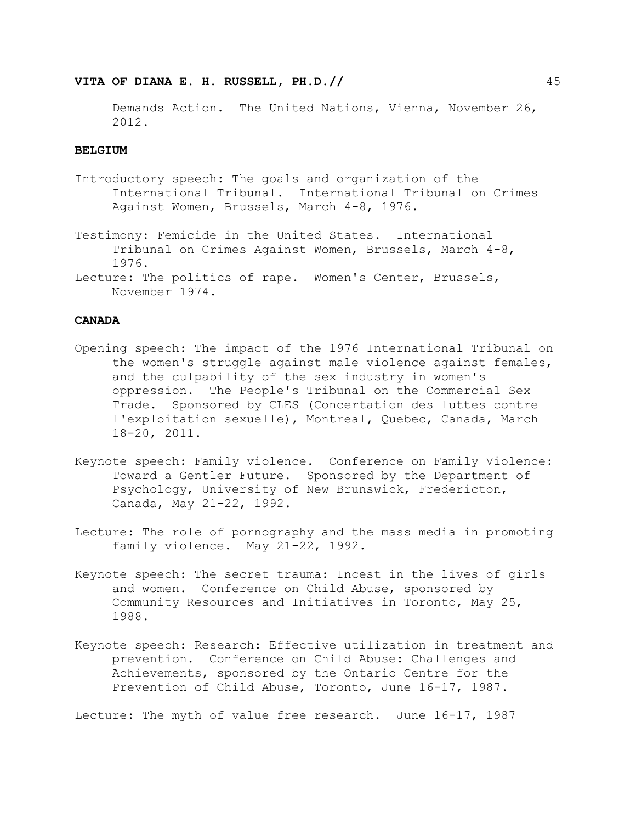Demands Action. The United Nations, Vienna, November 26, 2012.

#### **BELGIUM**

- Introductory speech: The goals and organization of the International Tribunal. International Tribunal on Crimes Against Women, Brussels, March 4-8, 1976.
- Testimony: Femicide in the United States. International Tribunal on Crimes Against Women, Brussels, March 4-8, 1976.
- Lecture: The politics of rape. Women's Center, Brussels, November 1974.

# **CANADA**

- Opening speech: The impact of the 1976 International Tribunal on the women's struggle against male violence against females, and the culpability of the sex industry in women's oppression. The People's Tribunal on the Commercial Sex Trade. Sponsored by CLES (Concertation des luttes contre l'exploitation sexuelle), Montreal, Quebec, Canada, March 18-20, 2011.
- Keynote speech: Family violence. Conference on Family Violence: Toward a Gentler Future. Sponsored by the Department of Psychology, University of New Brunswick, Fredericton, Canada, May 21-22, 1992.
- Lecture: The role of pornography and the mass media in promoting family violence. May 21-22, 1992.
- Keynote speech: The secret trauma: Incest in the lives of girls and women. Conference on Child Abuse, sponsored by Community Resources and Initiatives in Toronto, May 25, 1988.
- Keynote speech: Research: Effective utilization in treatment and prevention. Conference on Child Abuse: Challenges and Achievements, sponsored by the Ontario Centre for the Prevention of Child Abuse, Toronto, June 16-17, 1987.

Lecture: The myth of value free research. June 16-17, 1987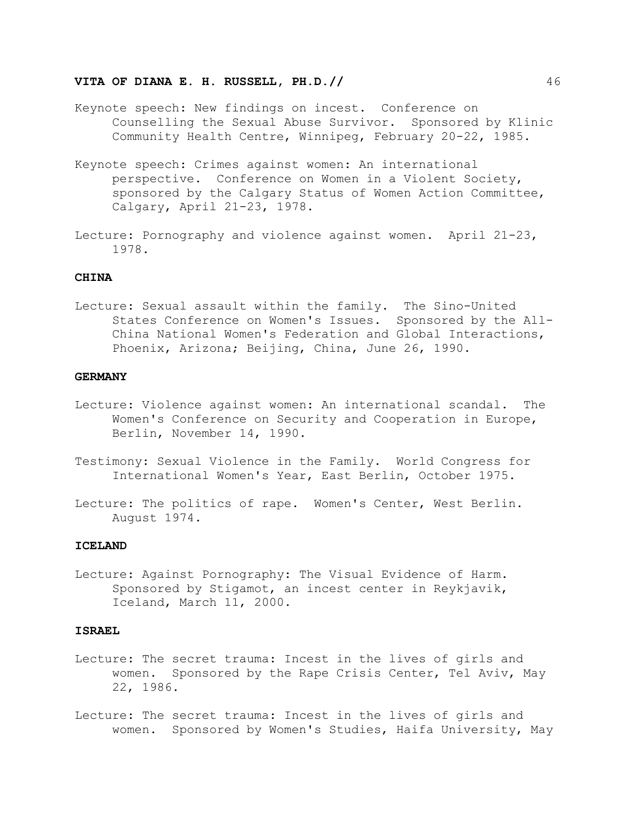- Keynote speech: New findings on incest. Conference on Counselling the Sexual Abuse Survivor. Sponsored by Klinic Community Health Centre, Winnipeg, February 20-22, 1985.
- Keynote speech: Crimes against women: An international perspective. Conference on Women in a Violent Society, sponsored by the Calgary Status of Women Action Committee, Calgary, April 21-23, 1978.
- Lecture: Pornography and violence against women. April 21-23, 1978.

# **CHINA**

Lecture: Sexual assault within the family. The Sino-United States Conference on Women's Issues. Sponsored by the All-China National Women's Federation and Global Interactions, Phoenix, Arizona; Beijing, China, June 26, 1990.

# **GERMANY**

- Lecture: Violence against women: An international scandal. The Women's Conference on Security and Cooperation in Europe, Berlin, November 14, 1990.
- Testimony: Sexual Violence in the Family. World Congress for International Women's Year, East Berlin, October 1975.
- Lecture: The politics of rape. Women's Center, West Berlin. August 1974.

#### **ICELAND**

Lecture: Against Pornography: The Visual Evidence of Harm. Sponsored by Stigamot, an incest center in Reykjavik, Iceland, March 11, 2000.

#### **ISRAEL**

- Lecture: The secret trauma: Incest in the lives of girls and women. Sponsored by the Rape Crisis Center, Tel Aviv, May 22, 1986.
- Lecture: The secret trauma: Incest in the lives of girls and women. Sponsored by Women's Studies, Haifa University, May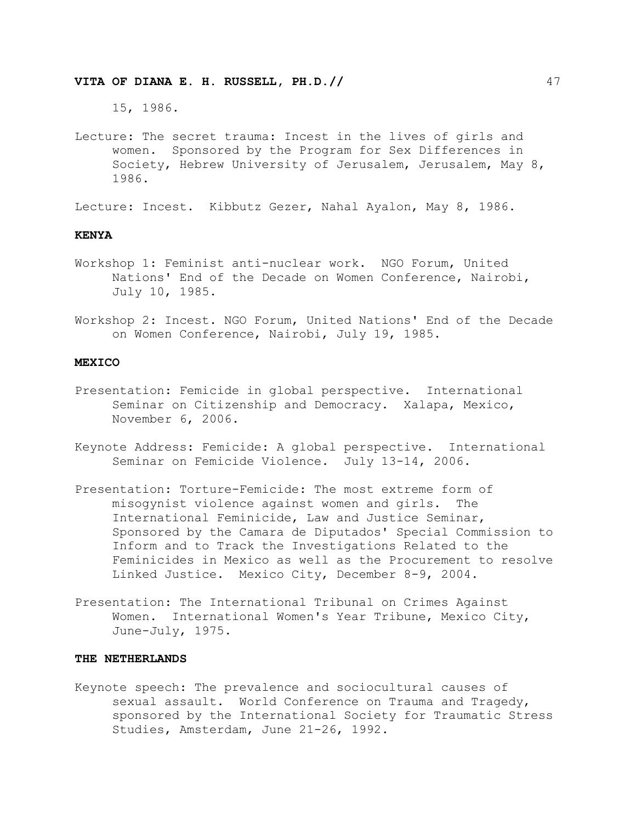15, 1986.

Lecture: The secret trauma: Incest in the lives of girls and women. Sponsored by the Program for Sex Differences in Society, Hebrew University of Jerusalem, Jerusalem, May 8, 1986.

Lecture: Incest. Kibbutz Gezer, Nahal Ayalon, May 8, 1986.

# **KENYA**

- Workshop 1: Feminist anti-nuclear work. NGO Forum, United Nations' End of the Decade on Women Conference, Nairobi, July 10, 1985.
- Workshop 2: Incest. NGO Forum, United Nations' End of the Decade on Women Conference, Nairobi, July 19, 1985.

#### **MEXICO**

- Presentation: Femicide in global perspective. International Seminar on Citizenship and Democracy. Xalapa, Mexico, November 6, 2006.
- Keynote Address: Femicide: A global perspective. International Seminar on Femicide Violence. July 13-14, 2006.
- Presentation: Torture-Femicide: The most extreme form of misogynist violence against women and girls. The International Feminicide, Law and Justice Seminar, Sponsored by the Camara de Diputados' Special Commission to Inform and to Track the Investigations Related to the Feminicides in Mexico as well as the Procurement to resolve Linked Justice. Mexico City, December 8-9, 2004.
- Presentation: The International Tribunal on Crimes Against Women. International Women's Year Tribune, Mexico City, June-July, 1975.

## **THE NETHERLANDS**

Keynote speech: The prevalence and sociocultural causes of sexual assault. World Conference on Trauma and Tragedy, sponsored by the International Society for Traumatic Stress Studies, Amsterdam, June 21-26, 1992.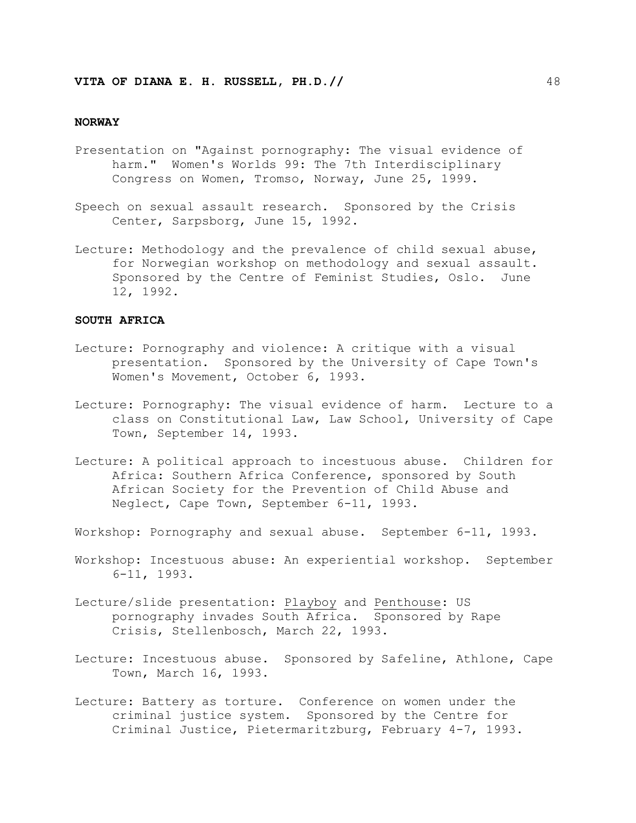#### **NORWAY**

- Presentation on "Against pornography: The visual evidence of harm." Women's Worlds 99: The 7th Interdisciplinary Congress on Women, Tromso, Norway, June 25, 1999.
- Speech on sexual assault research. Sponsored by the Crisis Center, Sarpsborg, June 15, 1992.
- Lecture: Methodology and the prevalence of child sexual abuse, for Norwegian workshop on methodology and sexual assault. Sponsored by the Centre of Feminist Studies, Oslo. June 12, 1992.

## **SOUTH AFRICA**

- Lecture: Pornography and violence: A critique with a visual presentation. Sponsored by the University of Cape Town's Women's Movement, October 6, 1993.
- Lecture: Pornography: The visual evidence of harm. Lecture to a class on Constitutional Law, Law School, University of Cape Town, September 14, 1993.
- Lecture: A political approach to incestuous abuse. Children for Africa: Southern Africa Conference, sponsored by South African Society for the Prevention of Child Abuse and Neglect, Cape Town, September 6-11, 1993.
- Workshop: Pornography and sexual abuse. September 6-11, 1993.
- Workshop: Incestuous abuse: An experiential workshop. September 6-11, 1993.
- Lecture/slide presentation: Playboy and Penthouse: US pornography invades South Africa. Sponsored by Rape Crisis, Stellenbosch, March 22, 1993.
- Lecture: Incestuous abuse. Sponsored by Safeline, Athlone, Cape Town, March 16, 1993.
- Lecture: Battery as torture. Conference on women under the criminal justice system. Sponsored by the Centre for Criminal Justice, Pietermaritzburg, February 4-7, 1993.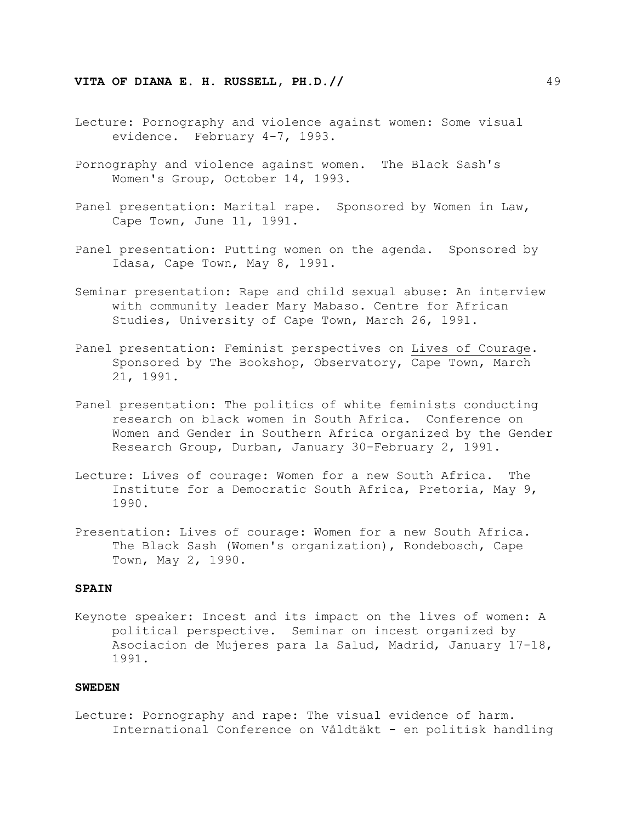- Lecture: Pornography and violence against women: Some visual evidence. February 4-7, 1993.
- Pornography and violence against women. The Black Sash's Women's Group, October 14, 1993.
- Panel presentation: Marital rape. Sponsored by Women in Law, Cape Town, June 11, 1991.
- Panel presentation: Putting women on the agenda. Sponsored by Idasa, Cape Town, May 8, 1991.
- Seminar presentation: Rape and child sexual abuse: An interview with community leader Mary Mabaso. Centre for African Studies, University of Cape Town, March 26, 1991.
- Panel presentation: Feminist perspectives on Lives of Courage. Sponsored by The Bookshop, Observatory, Cape Town, March 21, 1991.
- Panel presentation: The politics of white feminists conducting research on black women in South Africa. Conference on Women and Gender in Southern Africa organized by the Gender Research Group, Durban, January 30-February 2, 1991.
- Lecture: Lives of courage: Women for a new South Africa. The Institute for a Democratic South Africa, Pretoria, May 9, 1990.
- Presentation: Lives of courage: Women for a new South Africa. The Black Sash (Women's organization), Rondebosch, Cape Town, May 2, 1990.

### **SPAIN**

Keynote speaker: Incest and its impact on the lives of women: A political perspective. Seminar on incest organized by Asociacion de Mujeres para la Salud, Madrid, January 17-18, 1991.

#### **SWEDEN**

Lecture: Pornography and rape: The visual evidence of harm. International Conference on Våldtäkt - en politisk handling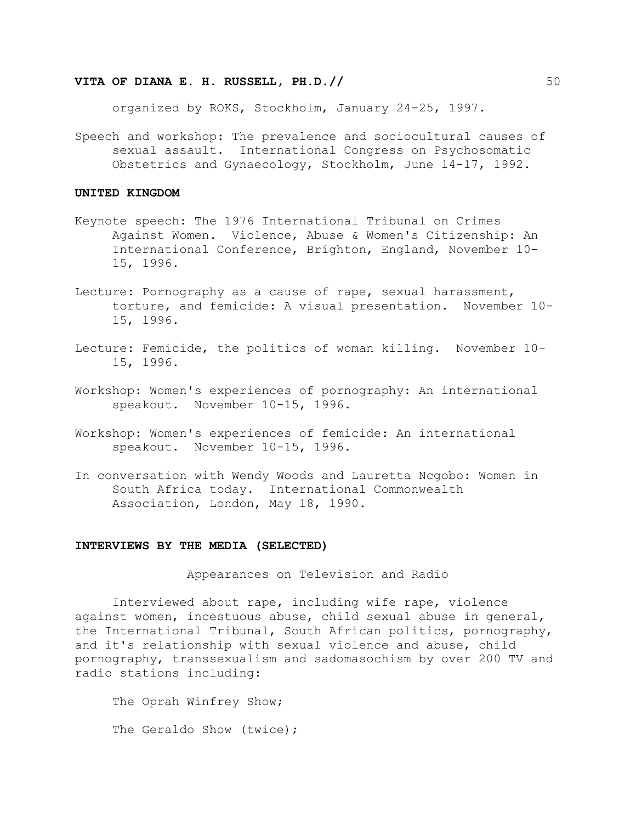organized by ROKS, Stockholm, January 24-25, 1997.

Speech and workshop: The prevalence and sociocultural causes of sexual assault. International Congress on Psychosomatic Obstetrics and Gynaecology, Stockholm, June 14-17, 1992.

#### **UNITED KINGDOM**

- Keynote speech: The 1976 International Tribunal on Crimes Against Women. Violence, Abuse & Women's Citizenship: An International Conference, Brighton, England, November 10- 15, 1996.
- Lecture: Pornography as a cause of rape, sexual harassment, torture, and femicide: A visual presentation. November 10- 15, 1996.
- Lecture: Femicide, the politics of woman killing. November 10- 15, 1996.
- Workshop: Women's experiences of pornography: An international speakout. November 10-15, 1996.
- Workshop: Women's experiences of femicide: An international speakout. November 10-15, 1996.
- In conversation with Wendy Woods and Lauretta Ncgobo: Women in South Africa today. International Commonwealth Association, London, May 18, 1990.

#### **INTERVIEWS BY THE MEDIA (SELECTED)**

Appearances on Television and Radio

Interviewed about rape, including wife rape, violence against women, incestuous abuse, child sexual abuse in general, the International Tribunal, South African politics, pornography, and it's relationship with sexual violence and abuse, child pornography, transsexualism and sadomasochism by over 200 TV and radio stations including:

The Oprah Winfrey Show; The Geraldo Show (twice);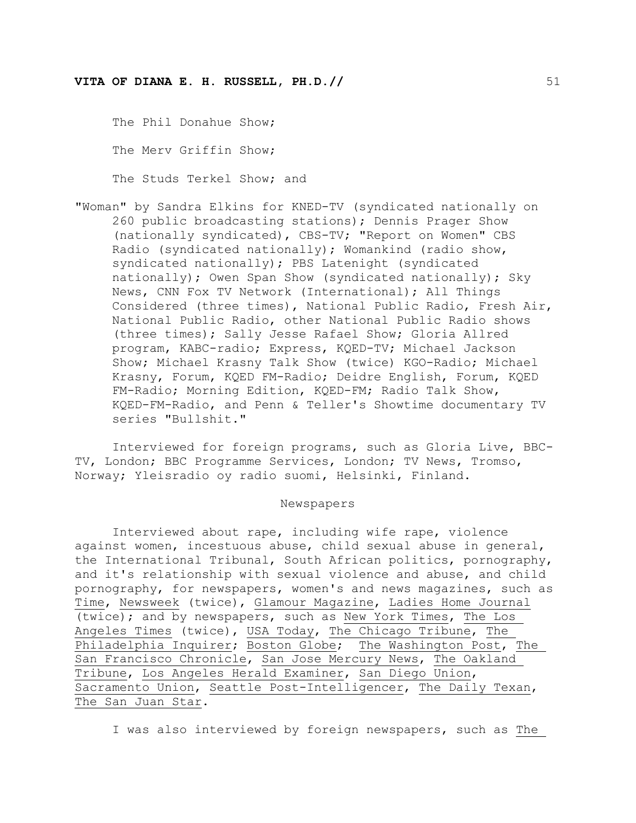The Phil Donahue Show; The Merv Griffin Show; The Studs Terkel Show; and

"Woman" by Sandra Elkins for KNED-TV (syndicated nationally on 260 public broadcasting stations); Dennis Prager Show (nationally syndicated), CBS-TV; "Report on Women" CBS Radio (syndicated nationally); Womankind (radio show, syndicated nationally); PBS Latenight (syndicated nationally); Owen Span Show (syndicated nationally); Sky News, CNN Fox TV Network (International); All Things Considered (three times), National Public Radio, Fresh Air, National Public Radio, other National Public Radio shows (three times); Sally Jesse Rafael Show; Gloria Allred program, KABC-radio; Express, KQED-TV; Michael Jackson Show; Michael Krasny Talk Show (twice) KGO-Radio; Michael Krasny, Forum, KQED FM-Radio; Deidre English, Forum, KQED FM-Radio; Morning Edition, KQED-FM; Radio Talk Show, KQED-FM-Radio, and Penn & Teller's Showtime documentary TV series "Bullshit."

Interviewed for foreign programs, such as Gloria Live, BBC-TV, London; BBC Programme Services, London; TV News, Tromso, Norway; Yleisradio oy radio suomi, Helsinki, Finland.

#### Newspapers

Interviewed about rape, including wife rape, violence against women, incestuous abuse, child sexual abuse in general, the International Tribunal, South African politics, pornography, and it's relationship with sexual violence and abuse, and child pornography, for newspapers, women's and news magazines, such as Time, Newsweek (twice), Glamour Magazine, Ladies Home Journal (twice); and by newspapers, such as New York Times, The Los Angeles Times (twice), USA Today, The Chicago Tribune, The Philadelphia Inquirer; Boston Globe; The Washington Post, The San Francisco Chronicle, San Jose Mercury News, The Oakland Tribune, Los Angeles Herald Examiner, San Diego Union, Sacramento Union, Seattle Post-Intelligencer, The Daily Texan, The San Juan Star.

I was also interviewed by foreign newspapers, such as The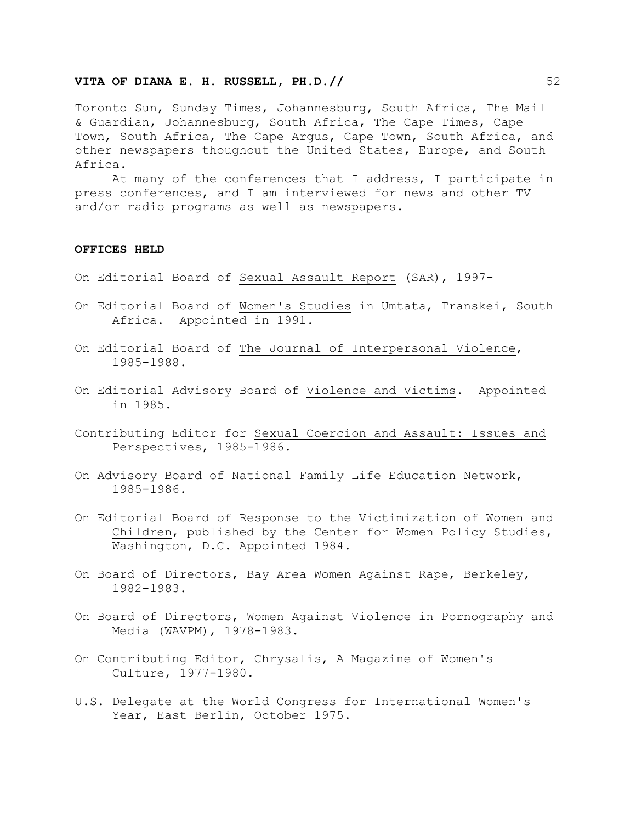Toronto Sun, Sunday Times, Johannesburg, South Africa, The Mail & Guardian, Johannesburg, South Africa, The Cape Times, Cape Town, South Africa, The Cape Argus, Cape Town, South Africa, and other newspapers thoughout the United States, Europe, and South Africa.

At many of the conferences that I address, I participate in press conferences, and I am interviewed for news and other TV and/or radio programs as well as newspapers.

#### **OFFICES HELD**

- On Editorial Board of Sexual Assault Report (SAR), 1997-
- On Editorial Board of Women's Studies in Umtata, Transkei, South Africa. Appointed in 1991.
- On Editorial Board of The Journal of Interpersonal Violence, 1985-1988.
- On Editorial Advisory Board of Violence and Victims. Appointed in 1985.
- Contributing Editor for Sexual Coercion and Assault: Issues and Perspectives, 1985-1986.
- On Advisory Board of National Family Life Education Network, 1985-1986.
- On Editorial Board of Response to the Victimization of Women and Children, published by the Center for Women Policy Studies, Washington, D.C. Appointed 1984.
- On Board of Directors, Bay Area Women Against Rape, Berkeley, 1982-1983.
- On Board of Directors, Women Against Violence in Pornography and Media (WAVPM), 1978-1983.
- On Contributing Editor, Chrysalis, A Magazine of Women's Culture, 1977-1980.
- U.S. Delegate at the World Congress for International Women's Year, East Berlin, October 1975.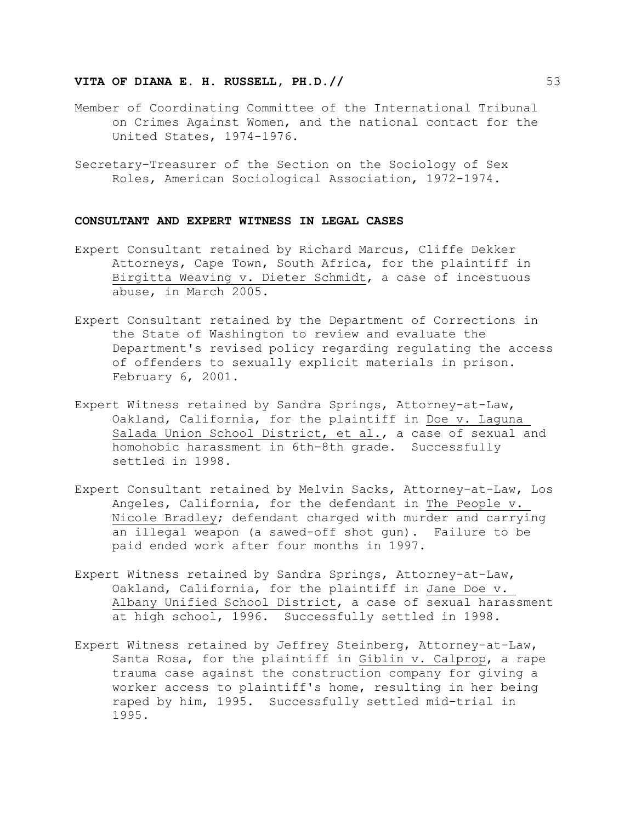- Member of Coordinating Committee of the International Tribunal on Crimes Against Women, and the national contact for the United States, 1974-1976.
- Secretary-Treasurer of the Section on the Sociology of Sex Roles, American Sociological Association, 1972-1974.

#### **CONSULTANT AND EXPERT WITNESS IN LEGAL CASES**

- Expert Consultant retained by Richard Marcus, Cliffe Dekker Attorneys, Cape Town, South Africa, for the plaintiff in Birgitta Weaving v. Dieter Schmidt, a case of incestuous abuse, in March 2005.
- Expert Consultant retained by the Department of Corrections in the State of Washington to review and evaluate the Department's revised policy regarding regulating the access of offenders to sexually explicit materials in prison. February 6, 2001.
- Expert Witness retained by Sandra Springs, Attorney-at-Law, Oakland, California, for the plaintiff in Doe v. Laguna Salada Union School District, et al., a case of sexual and homohobic harassment in 6th-8th grade. Successfully settled in 1998.
- Expert Consultant retained by Melvin Sacks, Attorney-at-Law, Los Angeles, California, for the defendant in The People v. Nicole Bradley; defendant charged with murder and carrying an illegal weapon (a sawed-off shot gun). Failure to be paid ended work after four months in 1997.
- Expert Witness retained by Sandra Springs, Attorney-at-Law, Oakland, California, for the plaintiff in Jane Doe v. Albany Unified School District, a case of sexual harassment at high school, 1996. Successfully settled in 1998.
- Expert Witness retained by Jeffrey Steinberg, Attorney-at-Law, Santa Rosa, for the plaintiff in Giblin v. Calprop, a rape trauma case against the construction company for giving a worker access to plaintiff's home, resulting in her being raped by him, 1995. Successfully settled mid-trial in 1995.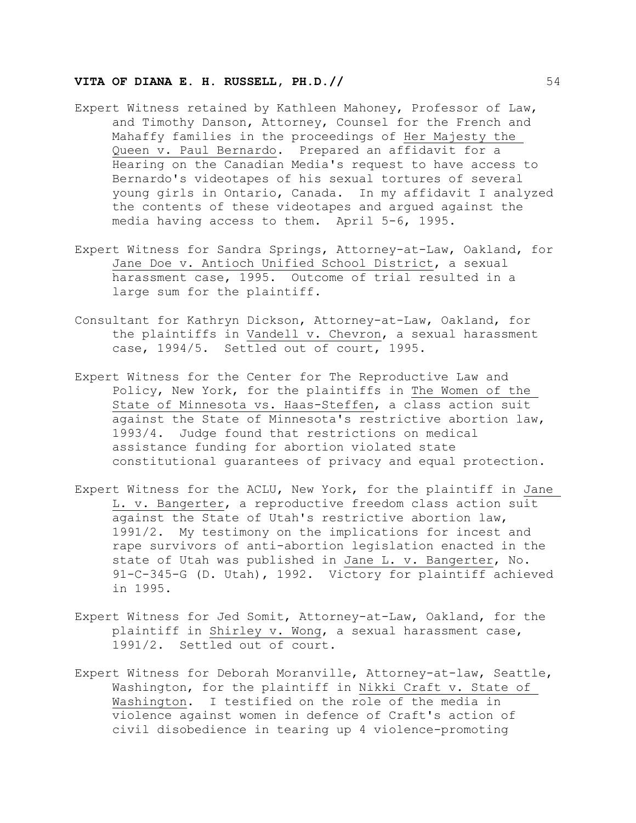- Expert Witness retained by Kathleen Mahoney, Professor of Law, and Timothy Danson, Attorney, Counsel for the French and Mahaffy families in the proceedings of Her Majesty the Queen v. Paul Bernardo. Prepared an affidavit for a Hearing on the Canadian Media's request to have access to Bernardo's videotapes of his sexual tortures of several young girls in Ontario, Canada. In my affidavit I analyzed the contents of these videotapes and argued against the media having access to them. April 5-6, 1995.
- Expert Witness for Sandra Springs, Attorney-at-Law, Oakland, for Jane Doe v. Antioch Unified School District, a sexual harassment case, 1995. Outcome of trial resulted in a large sum for the plaintiff.
- Consultant for Kathryn Dickson, Attorney-at-Law, Oakland, for the plaintiffs in Vandell v. Chevron, a sexual harassment case, 1994/5. Settled out of court, 1995.
- Expert Witness for the Center for The Reproductive Law and Policy, New York, for the plaintiffs in The Women of the State of Minnesota vs. Haas-Steffen, a class action suit against the State of Minnesota's restrictive abortion law, 1993/4. Judge found that restrictions on medical assistance funding for abortion violated state constitutional guarantees of privacy and equal protection.
- Expert Witness for the ACLU, New York, for the plaintiff in Jane L. v. Bangerter, a reproductive freedom class action suit against the State of Utah's restrictive abortion law, 1991/2. My testimony on the implications for incest and rape survivors of anti-abortion legislation enacted in the state of Utah was published in Jane L. v. Bangerter, No. 91-C-345-G (D. Utah), 1992. Victory for plaintiff achieved in 1995.
- Expert Witness for Jed Somit, Attorney-at-Law, Oakland, for the plaintiff in Shirley v. Wong, a sexual harassment case, 1991/2. Settled out of court.
- Expert Witness for Deborah Moranville, Attorney-at-law, Seattle, Washington, for the plaintiff in Nikki Craft v. State of Washington. I testified on the role of the media in violence against women in defence of Craft's action of civil disobedience in tearing up 4 violence-promoting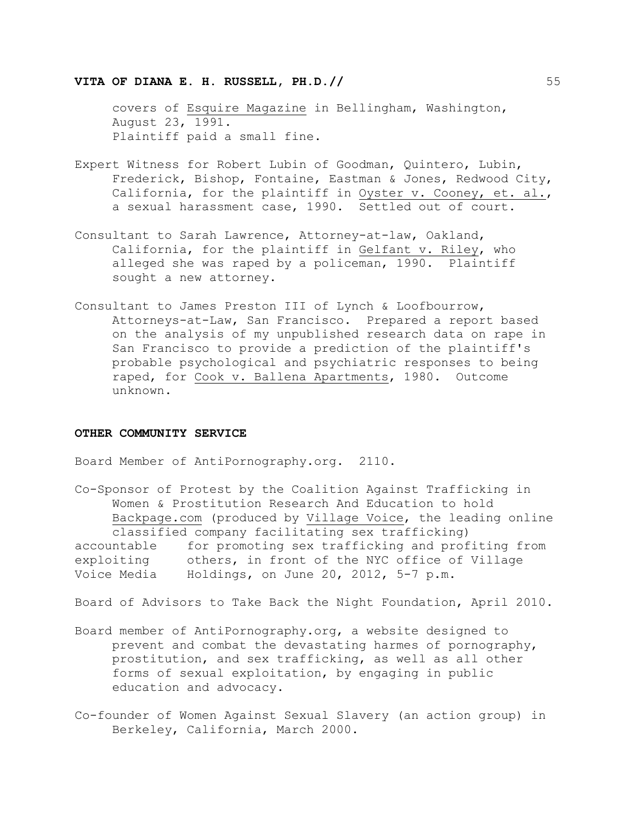covers of Esquire Magazine in Bellingham, Washington, August 23, 1991. Plaintiff paid a small fine.

- Expert Witness for Robert Lubin of Goodman, Quintero, Lubin, Frederick, Bishop, Fontaine, Eastman & Jones, Redwood City, California, for the plaintiff in Oyster v. Cooney, et. al., a sexual harassment case, 1990. Settled out of court.
- Consultant to Sarah Lawrence, Attorney-at-law, Oakland, California, for the plaintiff in Gelfant v. Riley, who alleged she was raped by a policeman, 1990. Plaintiff sought a new attorney.
- Consultant to James Preston III of Lynch & Loofbourrow, Attorneys-at-Law, San Francisco. Prepared a report based on the analysis of my unpublished research data on rape in San Francisco to provide a prediction of the plaintiff's probable psychological and psychiatric responses to being raped, for Cook v. Ballena Apartments, 1980. Outcome unknown.

#### **OTHER COMMUNITY SERVICE**

Board Member of AntiPornography.org. 2110.

Co-Sponsor of Protest by the Coalition Against Trafficking in Women & Prostitution Research And Education to hold Backpage.com (produced by Village Voice, the leading online classified company facilitating sex trafficking) accountable for promoting sex trafficking and profiting from exploiting others, in front of the NYC office of Village Voice Media Holdings, on June 20, 2012, 5-7 p.m.

Board of Advisors to Take Back the Night Foundation, April 2010.

- Board member of AntiPornography.org, a website designed to prevent and combat the devastating harmes of pornography, prostitution, and sex trafficking, as well as all other forms of sexual exploitation, by engaging in public education and advocacy.
- Co-founder of Women Against Sexual Slavery (an action group) in Berkeley, California, March 2000.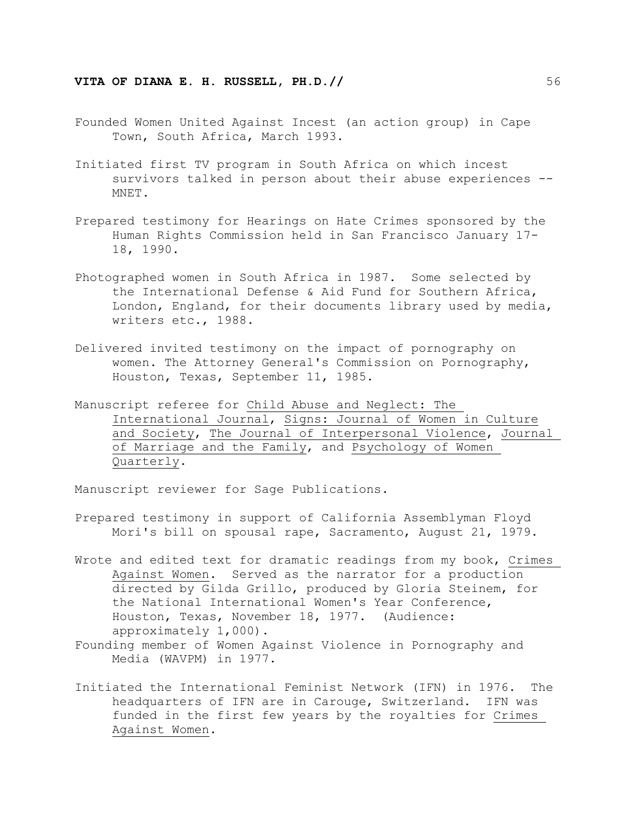- Founded Women United Against Incest (an action group) in Cape Town, South Africa, March 1993.
- Initiated first TV program in South Africa on which incest survivors talked in person about their abuse experiences -- MNET.
- Prepared testimony for Hearings on Hate Crimes sponsored by the Human Rights Commission held in San Francisco January 17- 18, 1990.
- Photographed women in South Africa in 1987. Some selected by the International Defense & Aid Fund for Southern Africa, London, England, for their documents library used by media, writers etc., 1988.
- Delivered invited testimony on the impact of pornography on women. The Attorney General's Commission on Pornography, Houston, Texas, September 11, 1985.
- Manuscript referee for Child Abuse and Neglect: The International Journal, Signs: Journal of Women in Culture and Society, The Journal of Interpersonal Violence, Journal of Marriage and the Family, and Psychology of Women Quarterly.

Manuscript reviewer for Sage Publications.

- Prepared testimony in support of California Assemblyman Floyd Mori's bill on spousal rape, Sacramento, August 21, 1979.
- Wrote and edited text for dramatic readings from my book, Crimes Against Women. Served as the narrator for a production directed by Gilda Grillo, produced by Gloria Steinem, for the National International Women's Year Conference, Houston, Texas, November 18, 1977. (Audience: approximately 1,000).
- Founding member of Women Against Violence in Pornography and Media (WAVPM) in 1977.
- Initiated the International Feminist Network (IFN) in 1976. The headquarters of IFN are in Carouge, Switzerland. IFN was funded in the first few years by the royalties for Crimes Against Women.